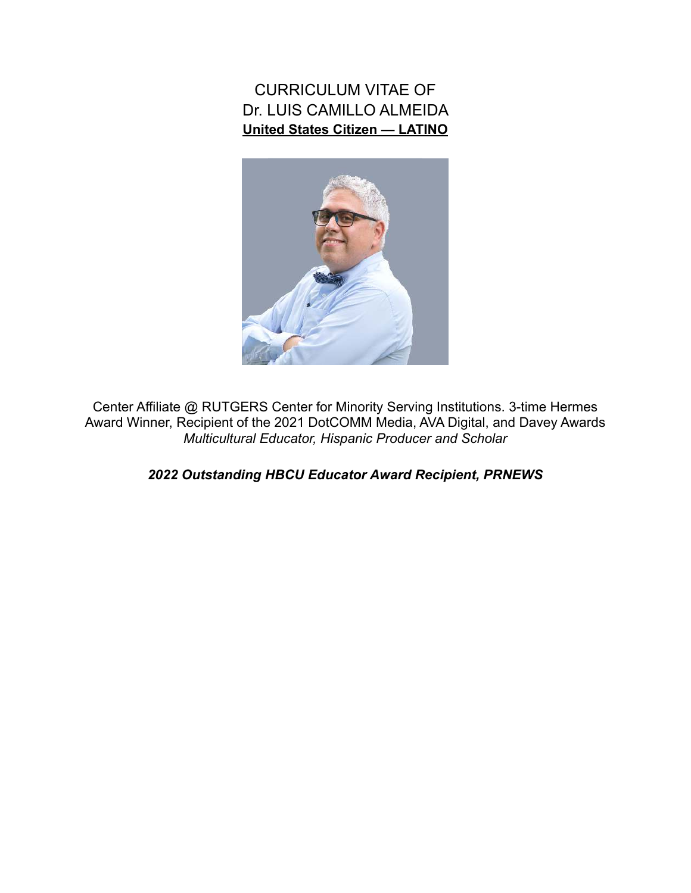CURRICULUM VITAE OF Dr. LUIS CAMILLO ALMEIDA **United States Citizen — LATINO** 



Center Affiliate @ RUTGERS Center for Minority Serving Institutions. 3-time Hermes Award Winner, Recipient of the 2021 DotCOMM Media, AVA Digital, and Davey Awards *Multicultural Educator, Hispanic Producer and Scholar*

*2022 Outstanding HBCU Educator Award Recipient, PRNEWS*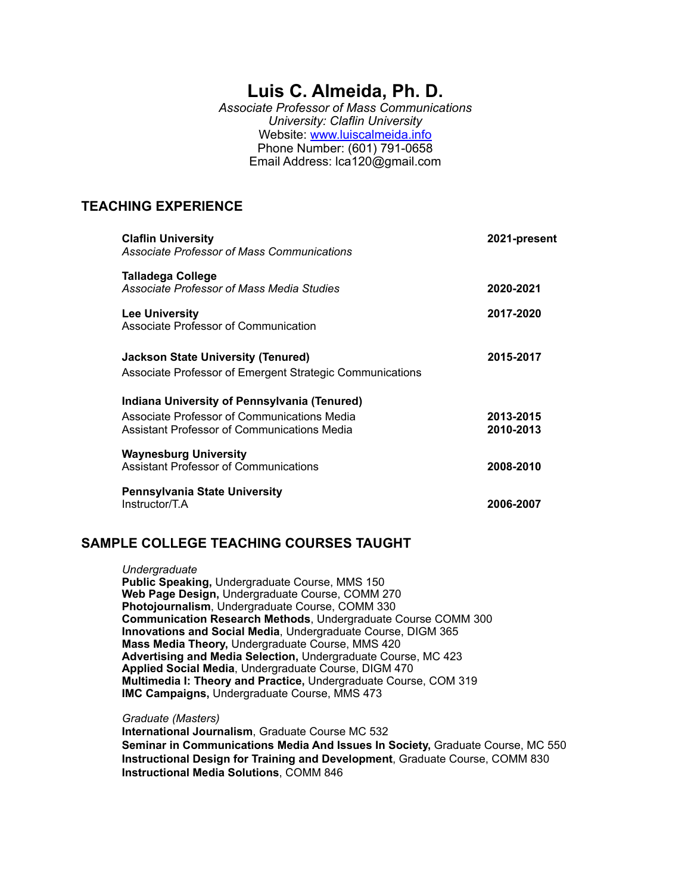# **Luis C. Almeida, Ph. D.**

*Associate Professor of Mass Communications University: Claflin University*  Website: [www.luiscalmeida.info](http://www.luiscalmeida.info) Phone Number: (601) 791-0658 Email Address: lca120@gmail.com

## **TEACHING EXPERIENCE**

| <b>Claflin University</b><br>Associate Professor of Mass Communications                                                                    |                                                          | 2021-present           |
|--------------------------------------------------------------------------------------------------------------------------------------------|----------------------------------------------------------|------------------------|
| Talladega College<br>Associate Professor of Mass Media Studies                                                                             |                                                          | 2020-2021              |
| Lee University<br>Associate Professor of Communication                                                                                     |                                                          | 2017-2020              |
| Jackson State University (Tenured)                                                                                                         | Associate Professor of Emergent Strategic Communications | 2015-2017              |
| Indiana University of Pennsylvania (Tenured)<br>Associate Professor of Communications Media<br>Assistant Professor of Communications Media |                                                          | 2013-2015<br>2010-2013 |
| <b>Waynesburg University</b><br>Assistant Professor of Communications                                                                      |                                                          | 2008-2010              |
| <b>Pennsylvania State University</b><br>Instructor/T.A                                                                                     |                                                          | 2006-2007              |

#### **SAMPLE COLLEGE TEACHING COURSES TAUGHT**

#### *Undergraduate*

**Public Speaking,** Undergraduate Course, MMS 150 **Web Page Design,** Undergraduate Course, COMM 270 **Photojournalism**, Undergraduate Course, COMM 330 **Communication Research Methods**, Undergraduate Course COMM 300 **Innovations and Social Media**, Undergraduate Course, DIGM 365 **Mass Media Theory,** Undergraduate Course, MMS 420 **Advertising and Media Selection,** Undergraduate Course, MC 423 **Applied Social Media**, Undergraduate Course, DIGM 470 **Multimedia I: Theory and Practice,** Undergraduate Course, COM 319 **IMC Campaigns,** Undergraduate Course, MMS 473

#### *Graduate (Masters)*

 **International Journalism**, Graduate Course MC 532 **Seminar in Communications Media And Issues In Society,** Graduate Course, MC 550 **Instructional Design for Training and Development**, Graduate Course, COMM 830 **Instructional Media Solutions**, COMM 846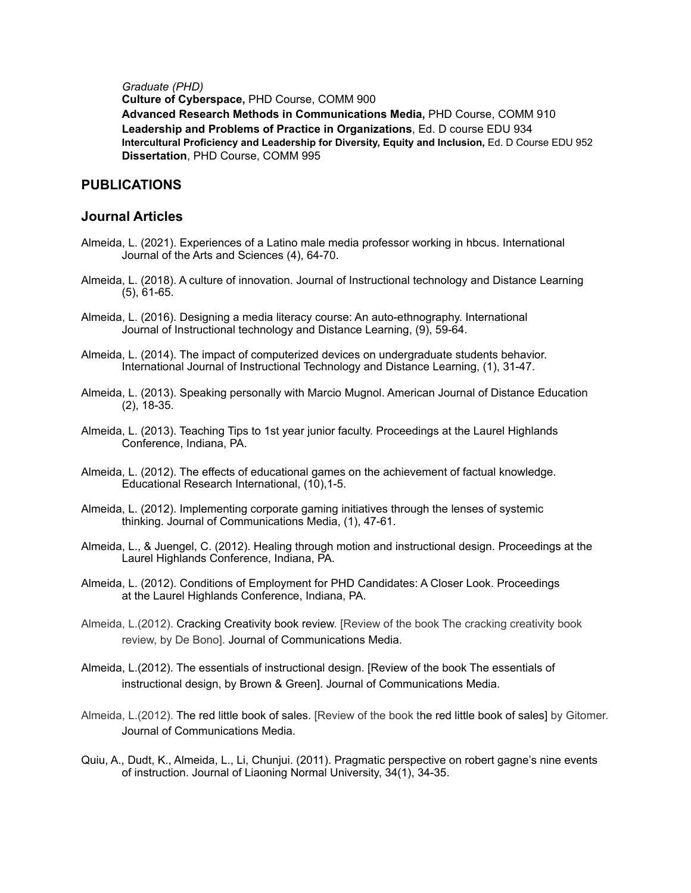*Graduate (PHD)*

**Culture of Cyberspace,** PHD Course, COMM 900

**Advanced Research Methods in Communications Media,** PHD Course, COMM 910 **Leadership and Problems of Practice in Organizations**, Ed. D course EDU 934 **Intercultural Proficiency and Leadership for Diversity, Equity and Inclusion,** Ed. D Course EDU 952 **Dissertation**, PHD Course, COMM 995

## **PUBLICATIONS**

#### **Journal Articles**

- Almeida, L. (2021). Experiences of a Latino male media professor working in hbcus. International Journal of the Arts and Sciences (4), 64-70.
- Almeida, L. (2018). A culture of innovation. Journal of Instructional technology and Distance Learning (5), 61-65.
- Almeida, L. (2016). Designing a media literacy course: An auto-ethnography. International Journal of Instructional technology and Distance Learning, (9), 59-64.
- Almeida, L. (2014). The impact of computerized devices on undergraduate students behavior. International Journal of Instructional Technology and Distance Learning, (1), 31-47.
- Almeida, L. (2013). Speaking personally with Marcio Mugnol. American Journal of Distance Education (2), 18-35.
- Almeida, L. (2013). Teaching Tips to 1st year junior faculty. Proceedings at the Laurel Highlands Conference, Indiana, PA.
- Almeida, L. (2012). The effects of educational games on the achievement of factual knowledge. Educational Research International, (10),1-5.
- Almeida, L. (2012). Implementing corporate gaming initiatives through the lenses of systemic thinking. Journal of Communications Media, (1), 47-61.
- Almeida, L., & Juengel, C. (2012). Healing through motion and instructional design. Proceedings at the Laurel Highlands Conference, Indiana, PA.
- Almeida, L. (2012). Conditions of Employment for PHD Candidates: A Closer Look. Proceedings at the Laurel Highlands Conference, Indiana, PA.
- Almeida, L.(2012). Cracking Creativity book review. [Review of the book The cracking creativity book review, by De Bono]. Journal of Communications Media.
- Almeida, L.(2012). The essentials of instructional design. [Review of the book The essentials of instructional design, by Brown & Green]. Journal of Communications Media.
- Almeida, L.(2012). The red little book of sales. [Review of the book the red little book of sales] by Gitomer. Journal of Communications Media.
- Quiu, A., Dudt, K., Almeida, L., Li, Chunjui. (2011). Pragmatic perspective on robert gagne's nine events of instruction. Journal of Liaoning Normal University, 34(1), 34-35.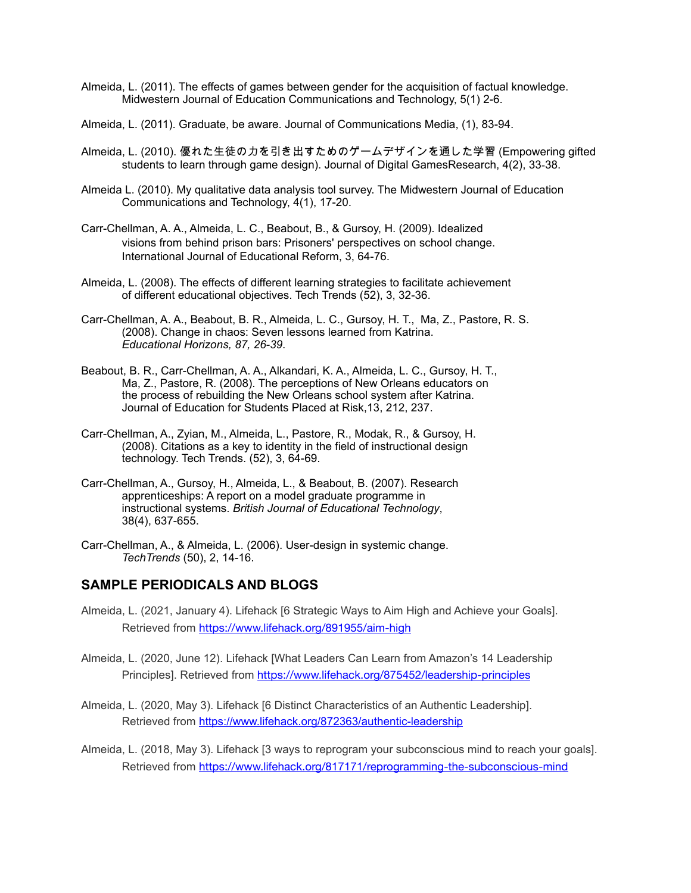- Almeida, L. (2011). The effects of games between gender for the acquisition of factual knowledge. Midwestern Journal of Education Communications and Technology, 5(1) 2-6.
- Almeida, L. (2011). Graduate, be aware. Journal of Communications Media, (1), 83-94.
- Almeida, L. (2010). 優れた生徒の力を引き出すためのゲームデザインを通した学習 (Empowering gifted students to learn through game design). Journal of Digital GamesResearch, 4(2), 33-38.
- Almeida L. (2010). My qualitative data analysis tool survey. The Midwestern Journal of Education Communications and Technology, 4(1), 17-20.
- Carr-Chellman, A. A., Almeida, L. C., Beabout, B., & Gursoy, H. (2009). Idealized visions from behind prison bars: Prisoners' perspectives on school change. International Journal of Educational Reform, 3, 64-76.
- Almeida, L. (2008). The effects of different learning strategies to facilitate achievement of different educational objectives. Tech Trends (52), 3, 32-36.
- Carr-Chellman, A. A., Beabout, B. R., Almeida, L. C., Gursoy, H. T., Ma, Z., Pastore, R. S. (2008). Change in chaos: Seven lessons learned from Katrina. *Educational Horizons, 87, 26-39*.
- Beabout, B. R., Carr-Chellman, A. A., Alkandari, K. A., Almeida, L. C., Gursoy, H. T., Ma, Z., Pastore, R. (2008). The perceptions of New Orleans educators on the process of rebuilding the New Orleans school system after Katrina. Journal of Education for Students Placed at Risk,13, 212, 237.
- Carr-Chellman, A., Zyian, M., Almeida, L., Pastore, R., Modak, R., & Gursoy, H. (2008). Citations as a key to identity in the field of instructional design technology. Tech Trends. (52), 3, 64-69.
- Carr-Chellman, A., Gursoy, H., Almeida, L., & Beabout, B. (2007). Research apprenticeships: A report on a model graduate programme in instructional systems. *British Journal of Educational Technology*, 38(4), 637-655.
- Carr-Chellman, A., & Almeida, L. (2006). User-design in systemic change. *TechTrends* (50), 2, 14-16.

#### **SAMPLE PERIODICALS AND BLOGS**

- Almeida, L. (2021, January 4). Lifehack [6 Strategic Ways to Aim High and Achieve your Goals]. Retrieved from <https://www.lifehack.org/891955/aim-high>
- Almeida, L. (2020, June 12). Lifehack [What Leaders Can Learn from Amazon's 14 Leadership Principles]. Retrieved from <https://www.lifehack.org/875452/leadership-principles>
- Almeida, L. (2020, May 3). Lifehack [6 Distinct Characteristics of an Authentic Leadership]. Retrieved from<https://www.lifehack.org/872363/authentic-leadership>
- Almeida, L. (2018, May 3). Lifehack [3 ways to reprogram your subconscious mind to reach your goals]. Retrieved from <https://www.lifehack.org/817171/reprogramming-the-subconscious-mind>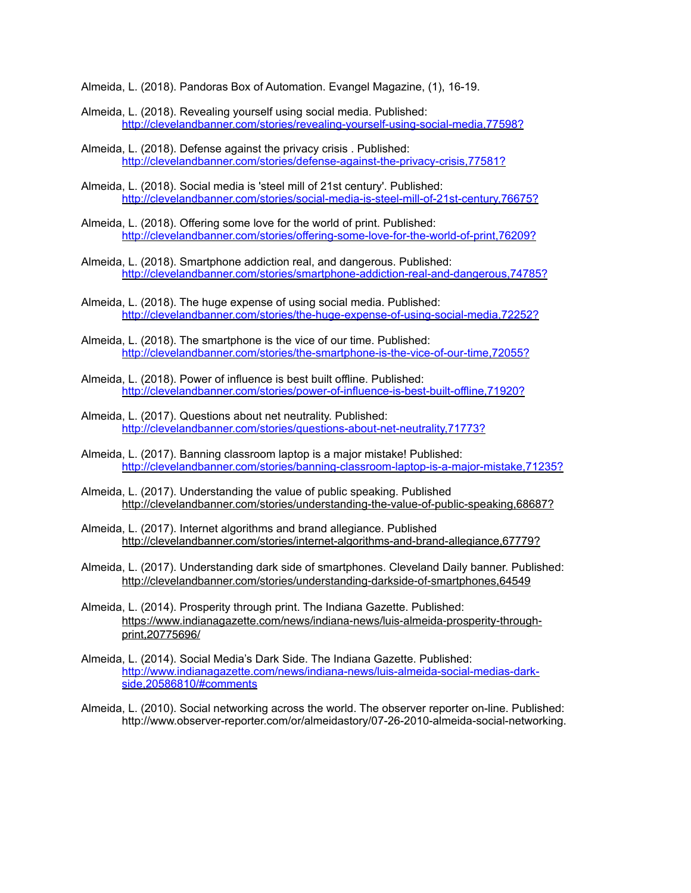Almeida, L. (2018). Pandoras Box of Automation. Evangel Magazine, (1), 16-19.

- Almeida, L. (2018)[. Revealing yourself using social media.](http://clevelandbanner.com/stories/the-future-isnt-based-on-tradition,72804?) Published: <http://clevelandbanner.com/stories/revealing-yourself-using-social-media,77598?>
- Almeida, L. (2018)[. Defense against the privacy crisis](http://clevelandbanner.com/stories/the-future-isnt-based-on-tradition,72804?) . Published: <http://clevelandbanner.com/stories/defense-against-the-privacy-crisis,77581?>
- Almeida, L. (2018)[. Social media is 'steel mill of 21st century'](http://clevelandbanner.com/stories/the-future-isnt-based-on-tradition,72804?). Published: <http://clevelandbanner.com/stories/social-media-is-steel-mill-of-21st-century,76675?>
- Almeida, L. (2018)[. Offering some love for the world of print](http://clevelandbanner.com/stories/the-future-isnt-based-on-tradition,72804?). Published: <http://clevelandbanner.com/stories/offering-some-love-for-the-world-of-print,76209?>
- Almeida, L. (2018)[. Smartphone addiction real, and dangerous](http://clevelandbanner.com/stories/the-future-isnt-based-on-tradition,72804?). Published: <http://clevelandbanner.com/stories/smartphone-addiction-real-and-dangerous,74785?>
- Almeida, L. (2018). The huge expense of using social media. Published: <http://clevelandbanner.com/stories/the-huge-expense-of-using-social-media,72252?>
- Almeida, L. (2018). The smartphone is the vice of our time. Published: <http://clevelandbanner.com/stories/the-smartphone-is-the-vice-of-our-time,72055?>
- Almeida, L. (2018). Power of influence is best built offline. Published: <http://clevelandbanner.com/stories/power-of-influence-is-best-built-offline,71920?>
- Almeida, L. (2017). Questions about net neutrality. Published: <http://clevelandbanner.com/stories/questions-about-net-neutrality,71773?>
- Almeida, L. (2017). Banning classroom laptop is a major mistake! Published: <http://clevelandbanner.com/stories/banning-classroom-laptop-is-a-major-mistake,71235?>
- Almeida, L. (2017). Understanding the value of public speaking. Published <http://clevelandbanner.com/stories/understanding-the-value-of-public-speaking,68687?>
- Almeida, L. (2017). Internet algorithms and brand allegiance. Published <http://clevelandbanner.com/stories/internet-algorithms-and-brand-allegiance,67779?>
- Almeida, L. (2017). Understanding dark side of smartphones. Cleveland Daily banner. Published: <http://clevelandbanner.com/stories/understanding-darkside-of-smartphones,64549>
- Almeida, L. (2014). Prosperity through print. The Indiana Gazette. Published: [https://www.indianagazette.com/news/indiana-news/luis-almeida-prosperity-through](https://www.indianagazette.com/news/indiana-news/luis-almeida-prosperity-through-print,20775696/)[print,20775696/](https://www.indianagazette.com/news/indiana-news/luis-almeida-prosperity-through-print,20775696/)
- Almeida, L. (2014). Social Media's Dark Side. The Indiana Gazette. Published: [http://www.indianagazette.com/news/indiana-news/luis-almeida-social-medias-dark](http://www.indianagazette.com/news/indiana-news/luis-almeida-social-medias-dark-side,20586810/%2523comments)[side,20586810/#comments](http://www.indianagazette.com/news/indiana-news/luis-almeida-social-medias-dark-side,20586810/%2523comments)
- Almeida, L. (2010). Social networking across the world. The observer reporter on-line. Published: http://www.observer-reporter.com/or/almeidastory/07-26-2010-almeida-social-networking.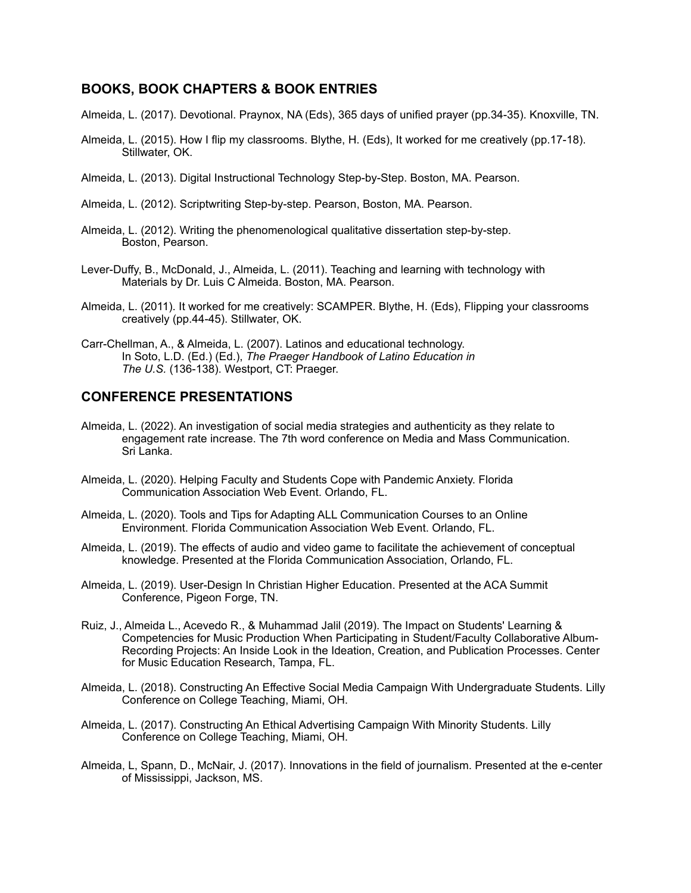#### **BOOKS, BOOK CHAPTERS & BOOK ENTRIES**

- Almeida, L. (2017). Devotional. Praynox, NA (Eds), 365 days of unified prayer (pp.34-35). Knoxville, TN.
- Almeida, L. (2015). How I flip my classrooms. Blythe, H. (Eds), It worked for me creatively (pp.17-18). Stillwater, OK.
- Almeida, L. (2013). Digital Instructional Technology Step-by-Step. Boston, MA. Pearson.
- Almeida, L. (2012). Scriptwriting Step-by-step. Pearson, Boston, MA. Pearson.
- Almeida, L. (2012). Writing the phenomenological qualitative dissertation step-by-step. Boston, Pearson.
- Lever-Duffy, B., McDonald, J., Almeida, L. (2011). Teaching and learning with technology with Materials by Dr. Luis C Almeida. Boston, MA. Pearson.
- Almeida, L. (2011). It worked for me creatively: SCAMPER. Blythe, H. (Eds), Flipping your classrooms creatively (pp.44-45). Stillwater, OK.
- Carr-Chellman, A., & Almeida, L. (2007). Latinos and educational technology. In Soto, L.D. (Ed.) (Ed.), *The Praeger Handbook of Latino Education in The U.S.* (136-138). Westport, CT: Praeger.

#### **CONFERENCE PRESENTATIONS**

- Almeida, L. (2022). An investigation of social media strategies and authenticity as they relate to engagement rate increase. The 7th word conference on Media and Mass Communication. Sri Lanka.
- Almeida, L. (2020). Helping Faculty and Students Cope with Pandemic Anxiety. Florida Communication Association Web Event. Orlando, FL.
- Almeida, L. (2020). Tools and Tips for Adapting ALL Communication Courses to an Online Environment. Florida Communication Association Web Event. Orlando, FL.
- Almeida, L. (2019). The effects of audio and video game to facilitate the achievement of conceptual knowledge. Presented at the Florida Communication Association, Orlando, FL.
- Almeida, L. (2019). User-Design In Christian Higher Education. Presented at the ACA Summit Conference, Pigeon Forge, TN.
- Ruiz, J., Almeida L., Acevedo R., & Muhammad Jalil (2019). The Impact on Students' Learning & Competencies for Music Production When Participating in Student/Faculty Collaborative Album- Recording Projects: An Inside Look in the Ideation, Creation, and Publication Processes. Center for Music Education Research, Tampa, FL.
- Almeida, L. (2018). Constructing An Effective Social Media Campaign With Undergraduate Students. Lilly Conference on College Teaching, Miami, OH.
- Almeida, L. (2017). Constructing An Ethical Advertising Campaign With Minority Students. Lilly Conference on College Teaching, Miami, OH.
- Almeida, L, Spann, D., McNair, J. (2017). Innovations in the field of journalism. Presented at the e-center of Mississippi, Jackson, MS.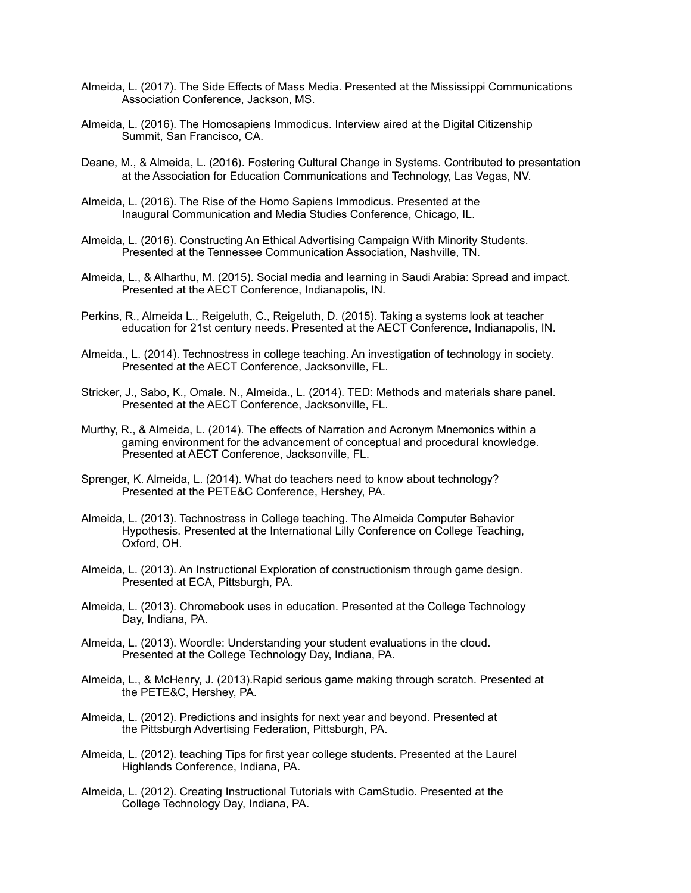- Almeida, L. (2017). The Side Effects of Mass Media. Presented at the Mississippi Communications Association Conference, Jackson, MS.
- Almeida, L. (2016). The Homosapiens Immodicus. Interview aired at the Digital Citizenship Summit, San Francisco, CA.
- Deane, M., & Almeida, L. (2016). Fostering Cultural Change in Systems. Contributed to presentation at the Association for Education Communications and Technology, Las Vegas, NV.
- Almeida, L. (2016). The Rise of the Homo Sapiens Immodicus. Presented at the Inaugural Communication and Media Studies Conference, Chicago, IL.
- Almeida, L. (2016). Constructing An Ethical Advertising Campaign With Minority Students. Presented at the Tennessee Communication Association, Nashville, TN.
- Almeida, L., & Alharthu, M. (2015). Social media and learning in Saudi Arabia: Spread and impact. Presented at the AECT Conference, Indianapolis, IN.
- Perkins, R., Almeida L., Reigeluth, C., Reigeluth, D. (2015). Taking a systems look at teacher education for 21st century needs. Presented at the AECT Conference, Indianapolis, IN.
- Almeida., L. (2014). Technostress in college teaching. An investigation of technology in society. Presented at the AECT Conference, Jacksonville, FL.
- Stricker, J., Sabo, K., Omale. N., Almeida., L. (2014). TED: Methods and materials share panel. Presented at the AECT Conference, Jacksonville, FL.
- Murthy, R., & Almeida, L. (2014). The effects of Narration and Acronym Mnemonics within a gaming environment for the advancement of conceptual and procedural knowledge. Presented at AECT Conference, Jacksonville, FL.
- Sprenger, K. Almeida, L. (2014). What do teachers need to know about technology? Presented at the PETE&C Conference, Hershey, PA.
- Almeida, L. (2013). Technostress in College teaching. The Almeida Computer Behavior Hypothesis. Presented at the International Lilly Conference on College Teaching, Oxford, OH.
- Almeida, L. (2013). An Instructional Exploration of constructionism through game design. Presented at ECA, Pittsburgh, PA.
- Almeida, L. (2013). Chromebook uses in education. Presented at the College Technology Day, Indiana, PA.
- Almeida, L. (2013). Woordle: Understanding your student evaluations in the cloud. Presented at the College Technology Day, Indiana, PA.
- Almeida, L., & McHenry, J. (2013).Rapid serious game making through scratch. Presented at the PETE&C, Hershey, PA.
- Almeida, L. (2012). Predictions and insights for next year and beyond. Presented at the Pittsburgh Advertising Federation, Pittsburgh, PA.
- Almeida, L. (2012). teaching Tips for first year college students. Presented at the Laurel Highlands Conference, Indiana, PA.
- Almeida, L. (2012). Creating Instructional Tutorials with CamStudio. Presented at the College Technology Day, Indiana, PA.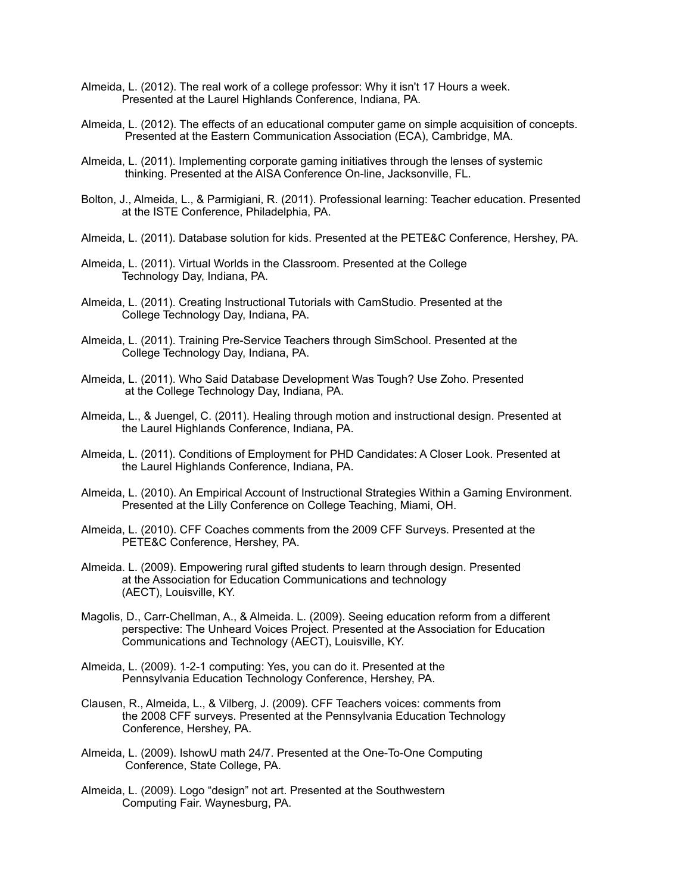- Almeida, L. (2012). The real work of a college professor: Why it isn't 17 Hours a week. Presented at the Laurel Highlands Conference, Indiana, PA.
- Almeida, L. (2012). The effects of an educational computer game on simple acquisition of concepts. Presented at the Eastern Communication Association (ECA), Cambridge, MA.
- Almeida, L. (2011). Implementing corporate gaming initiatives through the lenses of systemic thinking. Presented at the AISA Conference On-line, Jacksonville, FL.
- Bolton, J., Almeida, L., & Parmigiani, R. (2011). Professional learning: Teacher education. Presented at the ISTE Conference, Philadelphia, PA.
- Almeida, L. (2011). Database solution for kids. Presented at the PETE&C Conference, Hershey, PA.
- Almeida, L. (2011). Virtual Worlds in the Classroom. Presented at the College Technology Day, Indiana, PA.
- Almeida, L. (2011). Creating Instructional Tutorials with CamStudio. Presented at the College Technology Day, Indiana, PA.
- Almeida, L. (2011). Training Pre-Service Teachers through SimSchool. Presented at the College Technology Day, Indiana, PA.
- Almeida, L. (2011). Who Said Database Development Was Tough? Use Zoho. Presented at the College Technology Day, Indiana, PA.
- Almeida, L., & Juengel, C. (2011). Healing through motion and instructional design. Presented at the Laurel Highlands Conference, Indiana, PA.
- Almeida, L. (2011). Conditions of Employment for PHD Candidates: A Closer Look. Presented at the Laurel Highlands Conference, Indiana, PA.
- Almeida, L. (2010). An Empirical Account of Instructional Strategies Within a Gaming Environment. Presented at the Lilly Conference on College Teaching, Miami, OH.
- Almeida, L. (2010). CFF Coaches comments from the 2009 CFF Surveys. Presented at the PETE&C Conference, Hershey, PA.
- Almeida. L. (2009). Empowering rural gifted students to learn through design. Presented at the Association for Education Communications and technology (AECT), Louisville, KY.
- Magolis, D., Carr-Chellman, A., & Almeida. L. (2009). Seeing education reform from a different perspective: The Unheard Voices Project. Presented at the Association for Education Communications and Technology (AECT), Louisville, KY.
- Almeida, L. (2009). 1-2-1 computing: Yes, you can do it. Presented at the Pennsylvania Education Technology Conference, Hershey, PA.
- Clausen, R., Almeida, L., & Vilberg, J. (2009). CFF Teachers voices: comments from the 2008 CFF surveys. Presented at the Pennsylvania Education Technology Conference, Hershey, PA.
- Almeida, L. (2009). IshowU math 24/7. Presented at the One-To-One Computing Conference, State College, PA.
- Almeida, L. (2009). Logo "design" not art. Presented at the Southwestern Computing Fair. Waynesburg, PA.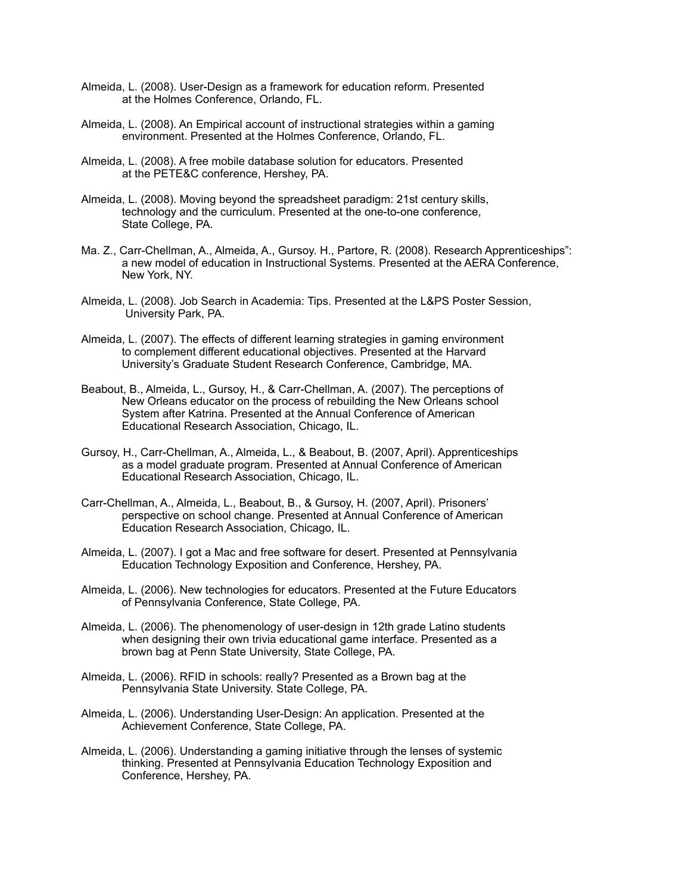- Almeida, L. (2008). User-Design as a framework for education reform. Presented at the Holmes Conference, Orlando, FL.
- Almeida, L. (2008). An Empirical account of instructional strategies within a gaming environment. Presented at the Holmes Conference, Orlando, FL.
- Almeida, L. (2008). A free mobile database solution for educators. Presented at the PETE&C conference, Hershey, PA.
- Almeida, L. (2008). Moving beyond the spreadsheet paradigm: 21st century skills, technology and the curriculum. Presented at the one-to-one conference, State College, PA.
- Ma. Z., Carr-Chellman, A., Almeida, A., Gursoy. H., Partore, R. (2008). Research Apprenticeships": a new model of education in Instructional Systems. Presented at the AERA Conference, New York, NY.
- Almeida, L. (2008). Job Search in Academia: Tips. Presented at the L&PS Poster Session, University Park, PA.
- Almeida, L. (2007). The effects of different learning strategies in gaming environment to complement different educational objectives. Presented at the Harvard University's Graduate Student Research Conference, Cambridge, MA.
- Beabout, B., Almeida, L., Gursoy, H., & Carr-Chellman, A. (2007). The perceptions of New Orleans educator on the process of rebuilding the New Orleans school System after Katrina. Presented at the Annual Conference of American Educational Research Association, Chicago, IL.
- Gursoy, H., Carr-Chellman, A., Almeida, L., & Beabout, B. (2007, April). Apprenticeships as a model graduate program. Presented at Annual Conference of American Educational Research Association, Chicago, IL.
- Carr-Chellman, A., Almeida, L., Beabout, B., & Gursoy, H. (2007, April). Prisoners' perspective on school change. Presented at Annual Conference of American Education Research Association, Chicago, IL.
- Almeida, L. (2007). I got a Mac and free software for desert. Presented at Pennsylvania Education Technology Exposition and Conference, Hershey, PA.
- Almeida, L. (2006). New technologies for educators. Presented at the Future Educators of Pennsylvania Conference, State College, PA.
- Almeida, L. (2006). The phenomenology of user-design in 12th grade Latino students when designing their own trivia educational game interface. Presented as a brown bag at Penn State University, State College, PA.
- Almeida, L. (2006). RFID in schools: really? Presented as a Brown bag at the Pennsylvania State University. State College, PA.
- Almeida, L. (2006). Understanding User-Design: An application. Presented at the Achievement Conference, State College, PA.
- Almeida, L. (2006). Understanding a gaming initiative through the lenses of systemic thinking. Presented at Pennsylvania Education Technology Exposition and Conference, Hershey, PA.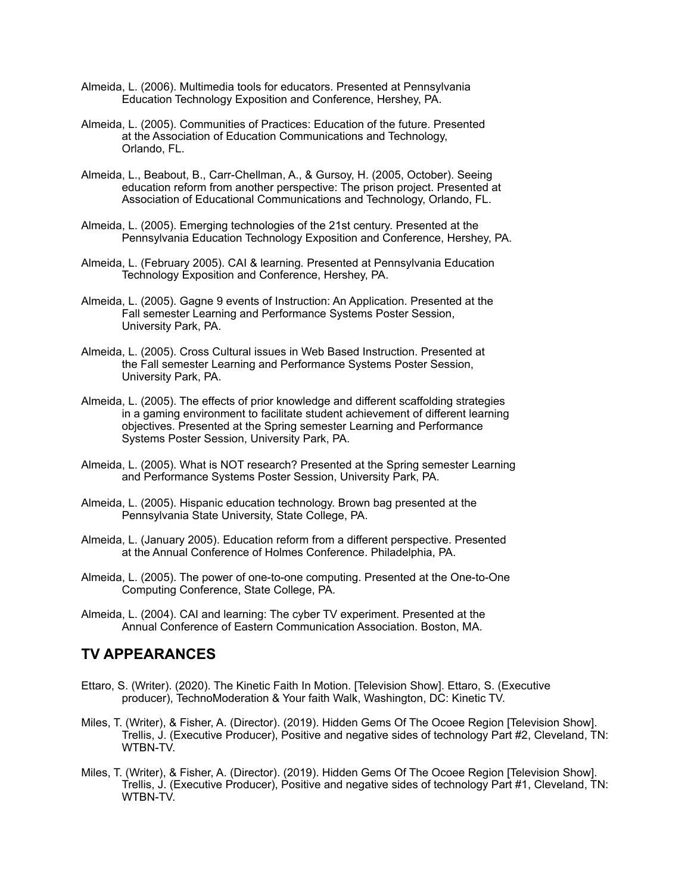- Almeida, L. (2006). Multimedia tools for educators. Presented at Pennsylvania Education Technology Exposition and Conference, Hershey, PA.
- Almeida, L. (2005). Communities of Practices: Education of the future. Presented at the Association of Education Communications and Technology, Orlando, FL.
- Almeida, L., Beabout, B., Carr-Chellman, A., & Gursoy, H. (2005, October). Seeing education reform from another perspective: The prison project. Presented at Association of Educational Communications and Technology, Orlando, FL.
- Almeida, L. (2005). Emerging technologies of the 21st century. Presented at the Pennsylvania Education Technology Exposition and Conference, Hershey, PA.
- Almeida, L. (February 2005). CAI & learning*.* Presented at Pennsylvania Education Technology Exposition and Conference, Hershey, PA.
- Almeida, L. (2005). Gagne 9 events of Instruction: An Application. Presented at the Fall semester Learning and Performance Systems Poster Session, University Park, PA.
- Almeida, L. (2005). Cross Cultural issues in Web Based Instruction. Presented at the Fall semester Learning and Performance Systems Poster Session, University Park, PA.
- Almeida, L. (2005). The effects of prior knowledge and different scaffolding strategies in a gaming environment to facilitate student achievement of different learning objectives. Presented at the Spring semester Learning and Performance Systems Poster Session, University Park, PA.
- Almeida, L. (2005). What is NOT research? Presented at the Spring semester Learning and Performance Systems Poster Session, University Park, PA.
- Almeida, L. (2005). Hispanic education technology. Brown bag presented at the Pennsylvania State University, State College, PA.
- Almeida, L. (January 2005). Education reform from a different perspective. Presented at the Annual Conference of Holmes Conference. Philadelphia, PA.
- Almeida, L. (2005). The power of one-to-one computing. Presented at the One-to-One Computing Conference, State College, PA.
- Almeida, L. (2004). CAI and learning: The cyber TV experiment. Presented at the Annual Conference of Eastern Communication Association. Boston, MA.

## **TV APPEARANCES**

- Ettaro, S. (Writer). (2020). The Kinetic Faith In Motion. [Television Show]. Ettaro, S. (Executive producer), TechnoModeration & Your faith Walk, Washington, DC: Kinetic TV.
- Miles, T. (Writer), & Fisher, A. (Director). (2019). Hidden Gems Of The Ocoee Region [Television Show]. Trellis, J. (Executive Producer), Positive and negative sides of technology Part #2, Cleveland, TN: WTBN-TV.
- Miles, T. (Writer), & Fisher, A. (Director). (2019). Hidden Gems Of The Ocoee Region [Television Show]. Trellis, J. (Executive Producer), Positive and negative sides of technology Part #1, Cleveland, TN: WTBN-TV.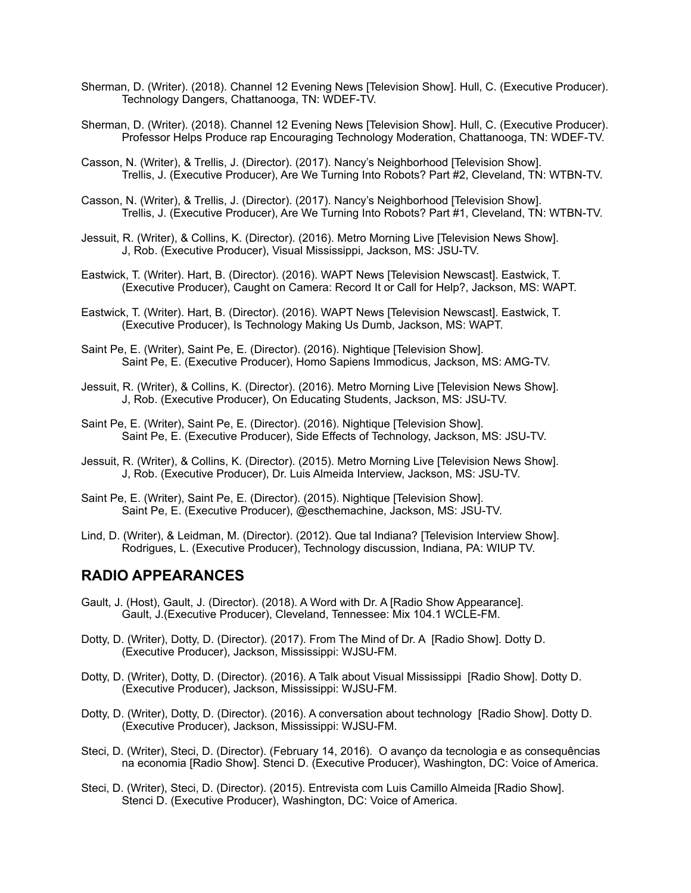- Sherman, D. (Writer). (2018). Channel 12 Evening News [Television Show]. Hull, C. (Executive Producer). Technology Dangers, Chattanooga, TN: WDEF-TV.
- Sherman, D. (Writer). (2018). Channel 12 Evening News [Television Show]. Hull, C. (Executive Producer). Professor Helps Produce rap Encouraging Technology Moderation, Chattanooga, TN: WDEF-TV.
- Casson, N. (Writer), & Trellis, J. (Director). (2017). Nancy's Neighborhood [Television Show]. Trellis, J. (Executive Producer), Are We Turning Into Robots? Part #2, Cleveland, TN: WTBN-TV.
- Casson, N. (Writer), & Trellis, J. (Director). (2017). Nancy's Neighborhood [Television Show]. Trellis, J. (Executive Producer), Are We Turning Into Robots? Part #1, Cleveland, TN: WTBN-TV.
- Jessuit, R. (Writer), & Collins, K. (Director). (2016). Metro Morning Live [Television News Show]. J, Rob. (Executive Producer), Visual Mississippi, Jackson, MS: JSU-TV.
- Eastwick, T. (Writer). Hart, B. (Director). (2016). WAPT News [Television Newscast]. Eastwick, T. (Executive Producer), Caught on Camera: Record It or Call for Help?, Jackson, MS: WAPT.
- Eastwick, T. (Writer). Hart, B. (Director). (2016). WAPT News [Television Newscast]. Eastwick, T. (Executive Producer), Is Technology Making Us Dumb, Jackson, MS: WAPT.
- Saint Pe, E. (Writer), Saint Pe, E. (Director). (2016). Nightique [Television Show]. Saint Pe, E. (Executive Producer), Homo Sapiens Immodicus, Jackson, MS: AMG-TV.
- Jessuit, R. (Writer), & Collins, K. (Director). (2016). Metro Morning Live [Television News Show]. J, Rob. (Executive Producer), On Educating Students, Jackson, MS: JSU-TV.
- Saint Pe, E. (Writer), Saint Pe, E. (Director). (2016). Nightique [Television Show]. Saint Pe, E. (Executive Producer), Side Effects of Technology, Jackson, MS: JSU-TV.
- Jessuit, R. (Writer), & Collins, K. (Director). (2015). Metro Morning Live [Television News Show]. J, Rob. (Executive Producer), Dr. Luis Almeida Interview, Jackson, MS: JSU-TV.
- Saint Pe, E. (Writer), Saint Pe, E. (Director). (2015). Nightique [Television Show]. Saint Pe, E. (Executive Producer), @escthemachine, Jackson, MS: JSU-TV.
- Lind, D. (Writer), & Leidman, M. (Director). (2012). Que tal Indiana? [Television Interview Show]. Rodrigues, L. (Executive Producer), Technology discussion, Indiana, PA: WIUP TV.

## **RADIO APPEARANCES**

- Gault, J. (Host), Gault, J. (Director). (2018). A Word with Dr. A [Radio Show Appearance]. Gault, J.(Executive Producer), Cleveland, Tennessee: Mix 104.1 WCLE-FM.
- Dotty, D. (Writer), Dotty, D. (Director). (2017). From The Mind of Dr. A [Radio Show]. Dotty D. (Executive Producer), Jackson, Mississippi: WJSU-FM.
- Dotty, D. (Writer), Dotty, D. (Director). (2016). A Talk about Visual Mississippi [Radio Show]. Dotty D. (Executive Producer), Jackson, Mississippi: WJSU-FM.
- Dotty, D. (Writer), Dotty, D. (Director). (2016). A conversation about technology [Radio Show]. Dotty D. (Executive Producer), Jackson, Mississippi: WJSU-FM.
- Steci, D. (Writer), Steci, D. (Director). (February 14, 2016). O avanço da tecnologia e as consequências na economia [Radio Show]. Stenci D. (Executive Producer), Washington, DC: Voice of America.
- Steci, D. (Writer), Steci, D. (Director). (2015). Entrevista com Luis Camillo Almeida [Radio Show]. Stenci D. (Executive Producer), Washington, DC: Voice of America.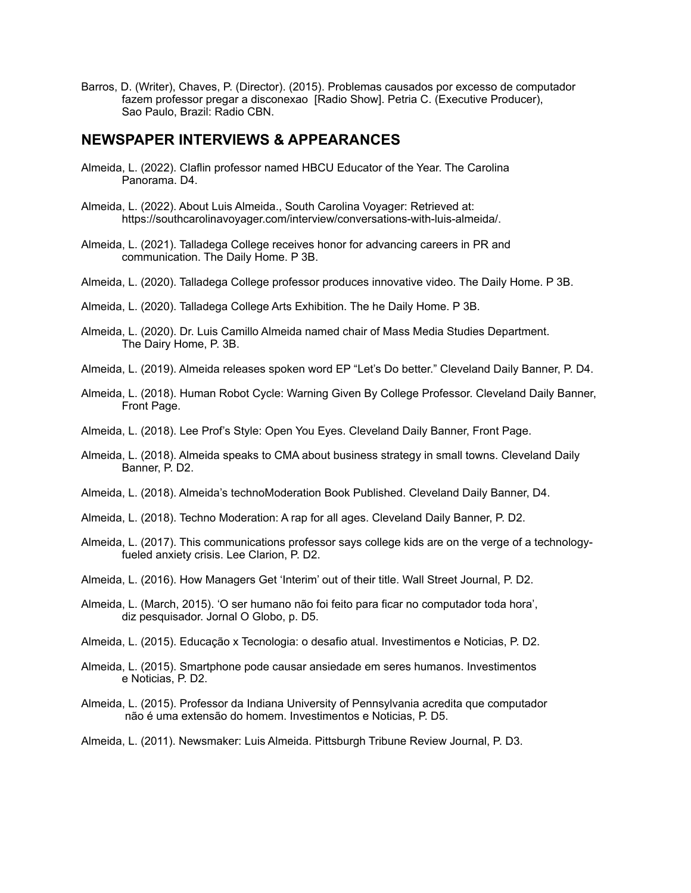Barros, D. (Writer), Chaves, P. (Director). (2015). Problemas causados por excesso de computador fazem professor pregar a disconexao [Radio Show]. Petria C. (Executive Producer), Sao Paulo, Brazil: Radio CBN.

#### **NEWSPAPER INTERVIEWS & APPEARANCES**

- Almeida, L. (2022). Claflin professor named HBCU Educator of the Year. The Carolina Panorama. D4.
- Almeida, L. (2022). About Luis Almeida., South Carolina Voyager: Retrieved at: https://southcarolinavoyager.com/interview/conversations-with-luis-almeida/.
- Almeida, L. (2021). Talladega College receives honor for advancing careers in PR and communication. The Daily Home. P 3B.
- Almeida, L. (2020). Talladega College professor produces innovative video. The Daily Home. P 3B.
- Almeida, L. (2020). Talladega College Arts Exhibition. The he Daily Home. P 3B.
- Almeida, L. (2020). Dr. Luis Camillo Almeida named chair of Mass Media Studies Department. The Dairy Home, P. 3B.
- Almeida, L. (2019). Almeida releases spoken word EP "Let's Do better." Cleveland Daily Banner, P. D4.
- Almeida, L. (2018). Human Robot Cycle: Warning Given By College Professor. Cleveland Daily Banner, Front Page.
- Almeida, L. (2018). Lee Prof's Style: Open You Eyes. Cleveland Daily Banner, Front Page.
- Almeida, L. (2018). Almeida speaks to CMA about business strategy in small towns. Cleveland Daily Banner, P. D2.
- Almeida, L. (2018). Almeida's technoModeration Book Published. Cleveland Daily Banner, D4.
- Almeida, L. (2018). Techno Moderation: A rap for all ages. Cleveland Daily Banner, P. D2.
- Almeida, L. (2017). This communications professor says college kids are on the verge of a technology fueled anxiety crisis. Lee Clarion, P. D2.
- Almeida, L. (2016). How Managers Get 'Interim' out of their title. Wall Street Journal, P. D2.
- Almeida, L. (March, 2015). 'O ser humano não foi feito para ficar no computador toda hora', diz pesquisador. Jornal O Globo, p. D5.
- Almeida, L. (2015). Educação x Tecnologia: o desafio atual. Investimentos e Noticias, P. D2.
- Almeida, L. (2015). Smartphone pode causar ansiedade em seres humanos. Investimentos e Noticias, P. D2.
- Almeida, L. (2015). Professor da Indiana University of Pennsylvania acredita que computador não é uma extensão do homem. Investimentos e Noticias, P. D5.
- Almeida, L. (2011). Newsmaker: Luis Almeida. Pittsburgh Tribune Review Journal, P. D3.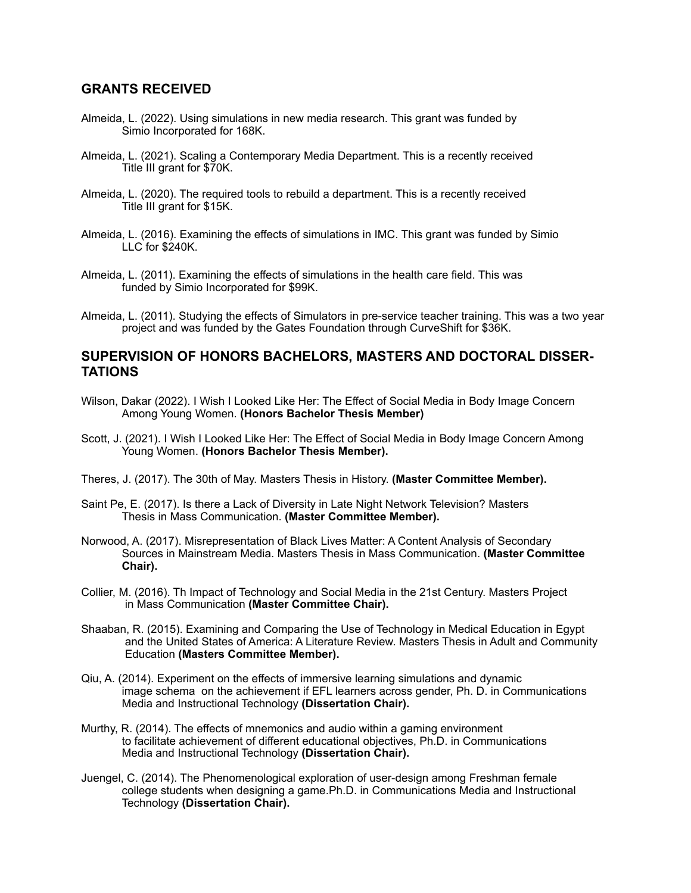#### **GRANTS RECEIVED**

- Almeida, L. (2022). Using simulations in new media research. This grant was funded by Simio Incorporated for 168K.
- Almeida, L. (2021). Scaling a Contemporary Media Department. This is a recently received Title III grant for \$70K.
- Almeida, L. (2020). The required tools to rebuild a department. This is a recently received Title III grant for \$15K.
- Almeida, L. (2016). Examining the effects of simulations in IMC. This grant was funded by Simio LLC for \$240K.
- Almeida, L. (2011). Examining the effects of simulations in the health care field. This was funded by Simio Incorporated for \$99K.
- Almeida, L. (2011). Studying the effects of Simulators in pre-service teacher training. This was a two year project and was funded by the Gates Foundation through CurveShift for \$36K.

#### **SUPERVISION OF HONORS BACHELORS, MASTERS AND DOCTORAL DISSER-TATIONS**

- Wilson, Dakar (2022). I Wish I Looked Like Her: The Effect of Social Media in Body Image Concern Among Young Women. **(Honors Bachelor Thesis Member)**
- Scott, J. (2021). I Wish I Looked Like Her: The Effect of Social Media in Body Image Concern Among Young Women. **(Honors Bachelor Thesis Member).**
- Theres, J. (2017). The 30th of May. Masters Thesis in History. **(Master Committee Member).**
- Saint Pe, E. (2017). Is there a Lack of Diversity in Late Night Network Television? Masters Thesis in Mass Communication. **(Master Committee Member).**
- Norwood, A. (2017). Misrepresentation of Black Lives Matter: A Content Analysis of Secondary Sources in Mainstream Media. Masters Thesis in Mass Communication. **(Master Committee Chair).**
- Collier, M. (2016). Th Impact of Technology and Social Media in the 21st Century. Masters Project in Mass Communication **(Master Committee Chair).**
- Shaaban, R. (2015). Examining and Comparing the Use of Technology in Medical Education in Egypt and the United States of America: A Literature Review. Masters Thesis in Adult and Community Education **(Masters Committee Member).**
- Qiu, A. (2014). Experiment on the effects of immersive learning simulations and dynamic image schema on the achievement if EFL learners across gender, Ph. D. in Communications Media and Instructional Technology **(Dissertation Chair).**
- Murthy, R. (2014). The effects of mnemonics and audio within a gaming environment to facilitate achievement of different educational objectives, Ph.D. in Communications Media and Instructional Technology **(Dissertation Chair).**
- Juengel, C. (2014). The Phenomenological exploration of user-design among Freshman female college students when designing a game.Ph.D. in Communications Media and Instructional Technology **(Dissertation Chair).**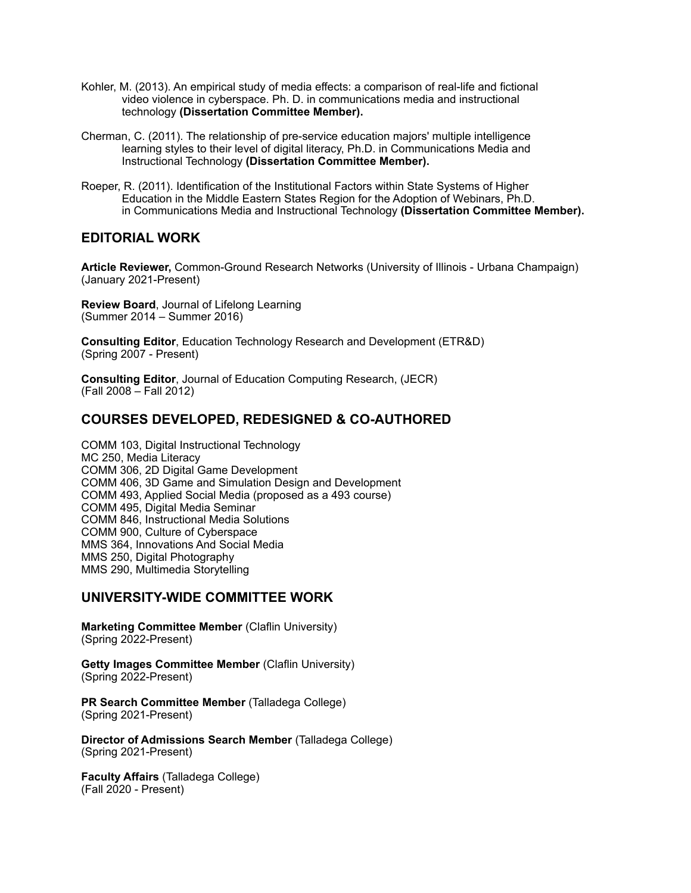- Kohler, M. (2013). An empirical study of media effects: a comparison of real-life and fictional video violence in cyberspace. Ph. D. in communications media and instructional technology **(Dissertation Committee Member).**
- Cherman, C. (2011). The relationship of pre-service education majors' multiple intelligence learning styles to their level of digital literacy, Ph.D. in Communications Media and Instructional Technology **(Dissertation Committee Member).**
- Roeper, R. (2011). Identification of the Institutional Factors within State Systems of Higher Education in the Middle Eastern States Region for the Adoption of Webinars, Ph.D. in Communications Media and Instructional Technology **(Dissertation Committee Member).**

#### **EDITORIAL WORK**

**Article Reviewer,** Common-Ground Research Networks (University of Illinois - Urbana Champaign) (January 2021-Present)

**Review Board**, Journal of Lifelong Learning (Summer 2014 – Summer 2016)

**Consulting Editor**, Education Technology Research and Development (ETR&D) (Spring 2007 - Present)

**Consulting Editor**, Journal of Education Computing Research, (JECR) (Fall 2008 – Fall 2012)

#### **COURSES DEVELOPED, REDESIGNED & CO-AUTHORED**

COMM 103, Digital Instructional Technology MC 250, Media Literacy COMM 306, 2D Digital Game Development COMM 406, 3D Game and Simulation Design and Development COMM 493, Applied Social Media (proposed as a 493 course) COMM 495, Digital Media Seminar COMM 846, Instructional Media Solutions COMM 900, Culture of Cyberspace MMS 364, Innovations And Social Media MMS 250, Digital Photography MMS 290, Multimedia Storytelling

#### **UNIVERSITY-WIDE COMMITTEE WORK**

**Marketing Committee Member (Claflin University)** (Spring 2022-Present)

**Getty Images Committee Member (Claflin University)** (Spring 2022-Present)

**PR Search Committee Member** (Talladega College) (Spring 2021-Present)

**Director of Admissions Search Member** (Talladega College) (Spring 2021-Present)

**Faculty Affairs** (Talladega College) (Fall 2020 - Present)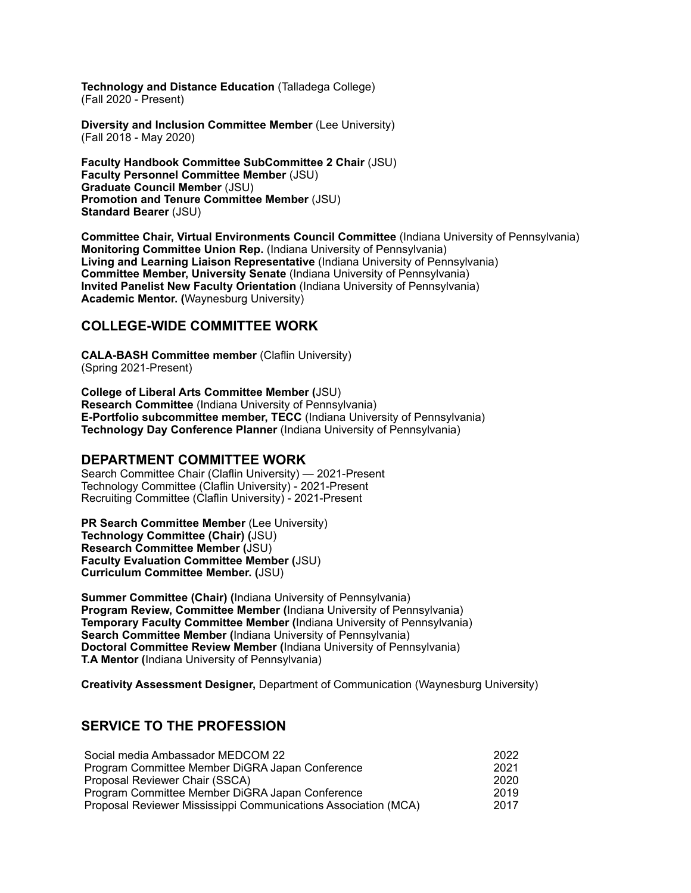**Technology and Distance Education** (Talladega College) (Fall 2020 - Present)

**Diversity and Inclusion Committee Member** (Lee University) (Fall 2018 - May 2020)

**Faculty Handbook Committee SubCommittee 2 Chair** (JSU) **Faculty Personnel Committee Member** (JSU) **Graduate Council Member** (JSU) **Promotion and Tenure Committee Member** (JSU) **Standard Bearer** (JSU)

**Committee Chair, Virtual Environments Council Committee** (Indiana University of Pennsylvania) **Monitoring Committee Union Rep.** (Indiana University of Pennsylvania) **Living and Learning Liaison Representative** (Indiana University of Pennsylvania) **Committee Member, University Senate** (Indiana University of Pennsylvania) **Invited Panelist New Faculty Orientation** (Indiana University of Pennsylvania) **Academic Mentor. (**Waynesburg University)

## **COLLEGE-WIDE COMMITTEE WORK**

**CALA-BASH Committee member** (Claflin University) (Spring 2021-Present)

**College of Liberal Arts Committee Member (**JSU) **Research Committee** (Indiana University of Pennsylvania) **E-Portfolio subcommittee member, TECC** (Indiana University of Pennsylvania) **Technology Day Conference Planner** (Indiana University of Pennsylvania)

#### **DEPARTMENT COMMITTEE WORK**

Search Committee Chair (Claflin University) — 2021-Present Technology Committee (Claflin University) - 2021-Present Recruiting Committee (Claflin University) - 2021-Present

**PR Search Committee Member** (Lee University) **Technology Committee (Chair) (**JSU) **Research Committee Member (**JSU) **Faculty Evaluation Committee Member (**JSU) **Curriculum Committee Member. (**JSU)

**Summer Committee (Chair) (**Indiana University of Pennsylvania) **Program Review, Committee Member (**Indiana University of Pennsylvania) **Temporary Faculty Committee Member (**Indiana University of Pennsylvania) **Search Committee Member (Indiana University of Pennsylvania) Doctoral Committee Review Member (**Indiana University of Pennsylvania) **T.A Mentor (**Indiana University of Pennsylvania)

**Creativity Assessment Designer,** Department of Communication (Waynesburg University)

## **SERVICE TO THE PROFESSION**

| Social media Ambassador MEDCOM 22                              | 2022 |
|----------------------------------------------------------------|------|
| Program Committee Member DiGRA Japan Conference                | 2021 |
| Proposal Reviewer Chair (SSCA)                                 | 2020 |
| Program Committee Member DiGRA Japan Conference                | 2019 |
| Proposal Reviewer Mississippi Communications Association (MCA) | 2017 |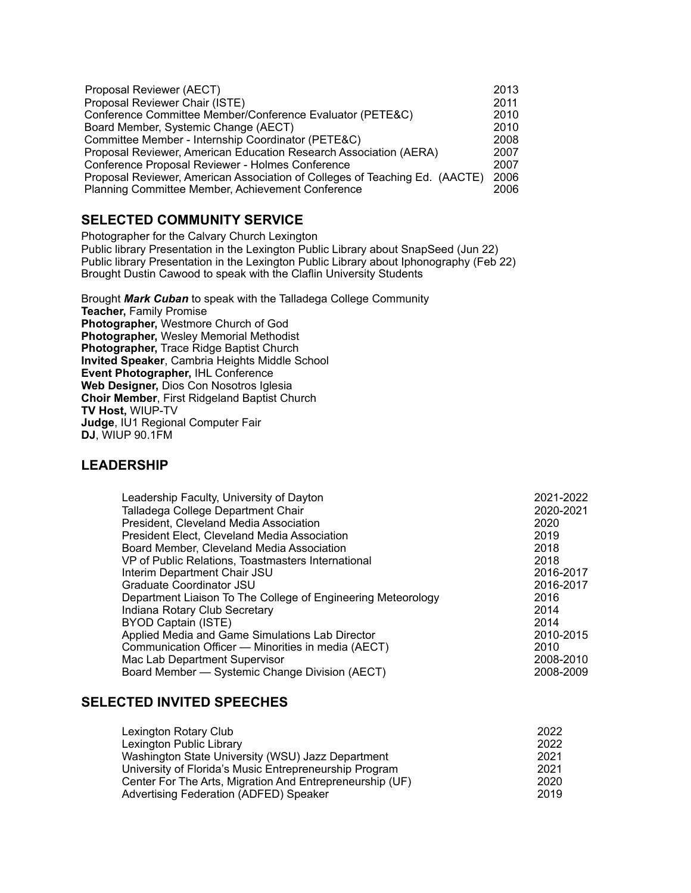| Proposal Reviewer (AECT)                                                    | 2013 |
|-----------------------------------------------------------------------------|------|
| Proposal Reviewer Chair (ISTE)                                              | 2011 |
| Conference Committee Member/Conference Evaluator (PETE&C)                   | 2010 |
| Board Member, Systemic Change (AECT)                                        | 2010 |
| Committee Member - Internship Coordinator (PETE&C)                          | 2008 |
| Proposal Reviewer, American Education Research Association (AERA)           | 2007 |
| Conference Proposal Reviewer - Holmes Conference                            | 2007 |
| Proposal Reviewer, American Association of Colleges of Teaching Ed. (AACTE) | 2006 |
| <b>Planning Committee Member, Achievement Conference</b>                    | 2006 |

## **SELECTED COMMUNITY SERVICE**

Photographer for the Calvary Church Lexington Public library Presentation in the Lexington Public Library about SnapSeed (Jun 22) Public library Presentation in the Lexington Public Library about Iphonography (Feb 22) Brought Dustin Cawood to speak with the Claflin University Students

Brought *Mark Cuban* to speak with the Talladega College Community **Teacher,** Family Promise **Photographer,** Westmore Church of God **Photographer,** Wesley Memorial Methodist Photographer, Trace Ridge Baptist Church **Invited Speaker**, Cambria Heights Middle School **Event Photographer,** IHL Conference **Web Designer,** Dios Con Nosotros Iglesia **Choir Member**, First Ridgeland Baptist Church **TV Host,** WIUP-TV **Judge**, IU1 Regional Computer Fair **DJ**, WIUP 90.1FM

## **LEADERSHIP**

| Leadership Faculty, University of Dayton<br>Talladega College Department Chair<br>President, Cleveland Media Association<br>President Elect, Cleveland Media Association<br>Board Member, Cleveland Media Association<br>VP of Public Relations, Toastmasters International<br>Interim Department Chair JSU<br>Graduate Coordinator JSU<br>Department Liaison To The College of Engineering Meteorology<br>Indiana Rotary Club Secretary | 2021-2022<br>2020-2021<br>2020<br>2019<br>2018<br>2018<br>2016-2017<br>2016-2017<br>2016<br>2014 |
|------------------------------------------------------------------------------------------------------------------------------------------------------------------------------------------------------------------------------------------------------------------------------------------------------------------------------------------------------------------------------------------------------------------------------------------|--------------------------------------------------------------------------------------------------|
|                                                                                                                                                                                                                                                                                                                                                                                                                                          |                                                                                                  |
| BYOD Captain (ISTE)<br>Applied Media and Game Simulations Lab Director                                                                                                                                                                                                                                                                                                                                                                   | 2014<br>2010-2015                                                                                |
| Communication Officer - Minorities in media (AECT)                                                                                                                                                                                                                                                                                                                                                                                       | 2010                                                                                             |
| Mac Lab Department Supervisor                                                                                                                                                                                                                                                                                                                                                                                                            | 2008-2010                                                                                        |
| Board Member - Systemic Change Division (AECT)                                                                                                                                                                                                                                                                                                                                                                                           | 2008-2009                                                                                        |

## **SELECTED INVITED SPEECHES**

| Lexington Rotary Club                                    | 2022 |
|----------------------------------------------------------|------|
| Lexington Public Library                                 | 2022 |
| Washington State University (WSU) Jazz Department        | 2021 |
| University of Florida's Music Entrepreneurship Program   | 2021 |
| Center For The Arts, Migration And Entrepreneurship (UF) | 2020 |
| Advertising Federation (ADFED) Speaker                   | 2019 |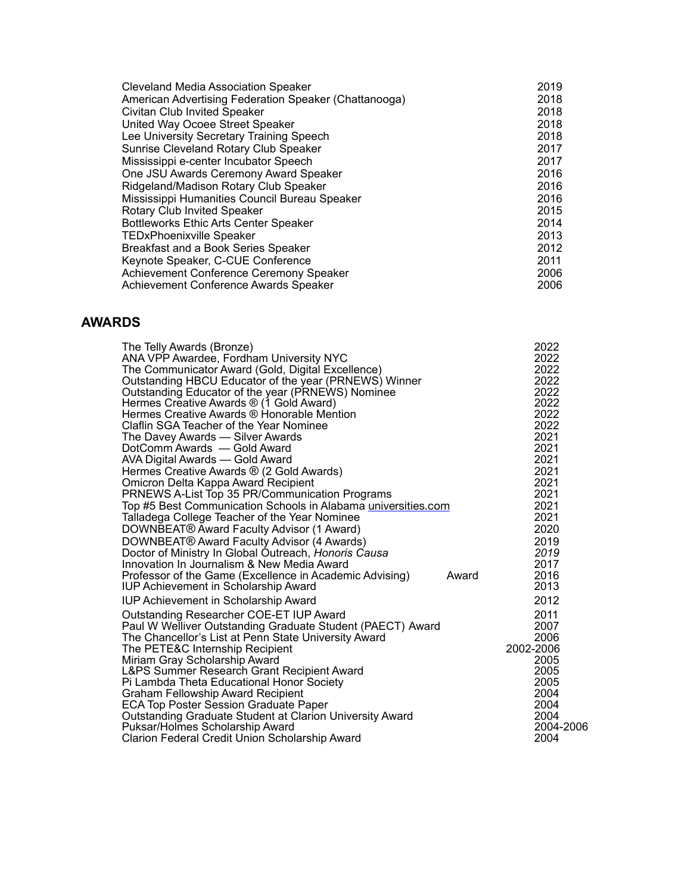| <b>Cleveland Media Association Speaker</b>            | 2019 |
|-------------------------------------------------------|------|
| American Advertising Federation Speaker (Chattanooga) | 2018 |
| <b>Civitan Club Invited Speaker</b>                   | 2018 |
| United Way Ocoee Street Speaker                       | 2018 |
| Lee University Secretary Training Speech              | 2018 |
| Sunrise Cleveland Rotary Club Speaker                 | 2017 |
| Mississippi e-center Incubator Speech                 | 2017 |
| One JSU Awards Ceremony Award Speaker                 | 2016 |
| Ridgeland/Madison Rotary Club Speaker                 | 2016 |
| Mississippi Humanities Council Bureau Speaker         | 2016 |
| <b>Rotary Club Invited Speaker</b>                    | 2015 |
| <b>Bottleworks Ethic Arts Center Speaker</b>          | 2014 |
| <b>TEDxPhoenixville Speaker</b>                       | 2013 |
| Breakfast and a Book Series Speaker                   | 2012 |
| Keynote Speaker, C-CUE Conference                     | 2011 |
| Achievement Conference Ceremony Speaker               | 2006 |
| Achievement Conference Awards Speaker                 | 2006 |

## **AWARDS**

| The Telly Awards (Bronze)<br>ANA VPP Awardee, Fordham University NYC                                     |       | 2022<br>2022 |
|----------------------------------------------------------------------------------------------------------|-------|--------------|
| The Communicator Award (Gold, Digital Excellence)                                                        |       | 2022         |
| Outstanding HBCU Educator of the year (PRNEWS) Winner                                                    |       | 2022         |
| Outstanding Educator of the year (PRNEWS) Nominee                                                        |       | 2022         |
| Hermes Creative Awards ® (1 Gold Award)                                                                  |       | 2022         |
| Hermes Creative Awards ® Honorable Mention                                                               |       | 2022         |
| Claflin SGA Teacher of the Year Nominee                                                                  |       | 2022         |
| The Davey Awards - Silver Awards                                                                         |       | 2021         |
| DotComm Awards - Gold Award                                                                              |       | 2021         |
| AVA Digital Awards - Gold Award                                                                          |       | 2021         |
| Hermes Creative Awards ® (2 Gold Awards)                                                                 |       | 2021         |
| Omicron Delta Kappa Award Recipient                                                                      |       | 2021         |
| PRNEWS A-List Top 35 PR/Communication Programs                                                           |       | 2021         |
| Top #5 Best Communication Schools in Alabama universities.com                                            |       | 2021         |
| Talladega College Teacher of the Year Nominee                                                            |       | 2021         |
| DOWNBEAT® Award Faculty Advisor (1 Award)                                                                |       | 2020         |
| DOWNBEAT® Award Faculty Advisor (4 Awards)                                                               |       | 2019         |
| Doctor of Ministry In Global Outreach, Honoris Causa                                                     |       | 2019         |
| Innovation In Journalism & New Media Award                                                               |       | 2017         |
| Professor of the Game (Excellence in Academic Advising)                                                  | Award | 2016         |
| <b>IUP Achievement in Scholarship Award</b>                                                              |       | 2013         |
| <b>IUP Achievement in Scholarship Award</b>                                                              |       | 2012         |
| Outstanding Researcher COE-ET IUP Award                                                                  |       | 2011         |
| Paul W Welliver Outstanding Graduate Student (PAECT) Award                                               |       | 2007         |
| The Chancellor's List at Penn State University Award                                                     |       | 2006         |
| The PETE&C Internship Recipient                                                                          |       | 2002-2006    |
| Miriam Gray Scholarship Award                                                                            |       | 2005         |
| L&PS Summer Research Grant Recipient Award                                                               |       | 2005         |
| Pi Lambda Theta Educational Honor Society                                                                |       | 2005         |
| Graham Fellowship Award Recipient                                                                        |       | 2004<br>2004 |
| <b>ECA Top Poster Session Graduate Paper</b><br>Outstanding Graduate Student at Clarion University Award |       | 2004         |
| Puksar/Holmes Scholarship Award                                                                          |       | 2004-2006    |
| Clarion Federal Credit Union Scholarship Award                                                           |       | 2004         |
|                                                                                                          |       |              |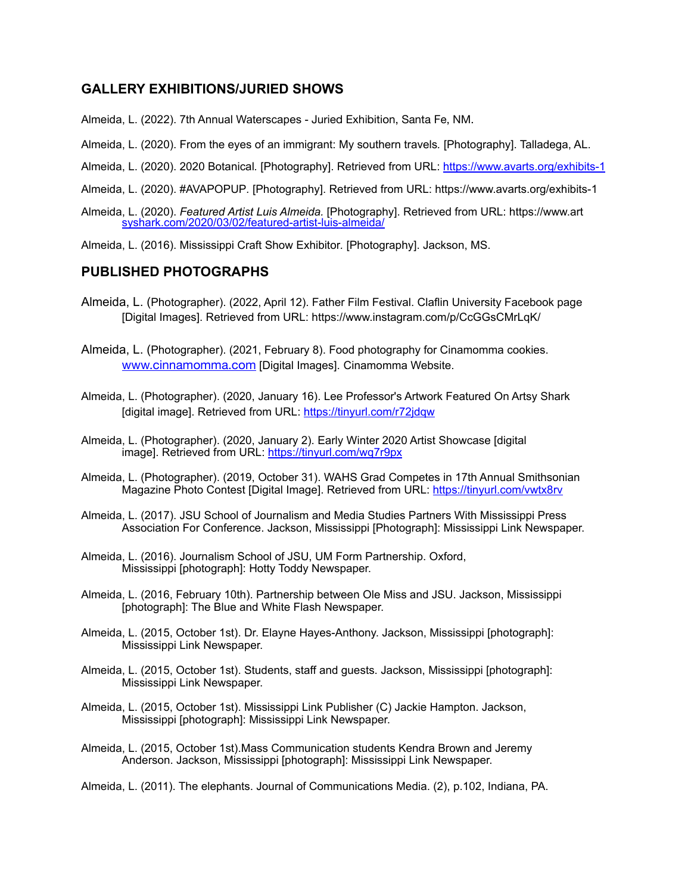## **GALLERY EXHIBITIONS/JURIED SHOWS**

- Almeida, L. (2022). 7th Annual Waterscapes Juried Exhibition, Santa Fe, NM.
- Almeida, L. (2020). From the eyes of an immigrant: My southern travels*.* [Photography]. Talladega, AL.
- Almeida, L. (2020). 2020 Botanical*.* [Photography]. Retrieved from URL: <https://www.avarts.org/exhibits-1>
- Almeida, L. (2020). #AVAPOPUP*.* [Photography]. Retrieved from URL: https://www.avarts.org/exhibits-1
- Almeida, L. (2020). *Featured Artist Luis Almeida.* [Photography]. Retrieved from URL: https://www.art [syshark.com/2020/03/02/featured-artist-luis-almeida/](http://syshark.com/2020/03/02/featured-artist-luis-almeida/)
- Almeida, L. (2016). Mississippi Craft Show Exhibitor*.* [Photography]. Jackson, MS.

## **PUBLISHED PHOTOGRAPHS**

- Almeida, L. (Photographer). (2022, April 12). Father Film Festival. Claflin University Facebook page [Digital Images]. Retrieved from URL: https://www.instagram.com/p/CcGGsCMrLqK/
- Almeida, L. (Photographer). (2021, February 8). Food photography for Cinamomma cookies. [www.cinnamomma.com](http://www.cinnamomma.com) [Digital Images]. Cinamomma Website.
- Almeida, L. (Photographer). (2020, January 16). Lee Professor's Artwork Featured On Artsy Shark [digital image]. Retrieved from URL:<https://tinyurl.com/r72jdqw>
- Almeida, L. (Photographer). (2020, January 2). Early Winter 2020 Artist Showcase [digital image]. Retrieved from URL: <https://tinyurl.com/wq7r9px>
- Almeida, L. (Photographer). (2019, October 31). WAHS Grad Competes in 17th Annual Smithsonian Magazine Photo Contest [Digital Image]. Retrieved from URL: <https://tinyurl.com/vwtx8rv>
- Almeida, L. (2017). JSU School of Journalism and Media Studies Partners With Mississippi Press Association For Conference. Jackson, Mississippi [Photograph]: Mississippi Link Newspaper.
- Almeida, L. (2016). Journalism School of JSU, UM Form Partnership. Oxford, Mississippi [photograph]: Hotty Toddy Newspaper.
- Almeida, L. (2016, February 10th). Partnership between Ole Miss and JSU. Jackson, Mississippi [photograph]: The Blue and White Flash Newspaper.
- Almeida, L. (2015, October 1st). Dr. Elayne Hayes-Anthony. Jackson, Mississippi [photograph]: Mississippi Link Newspaper.
- Almeida, L. (2015, October 1st). Students, staff and guests. Jackson, Mississippi [photograph]: Mississippi Link Newspaper.
- Almeida, L. (2015, October 1st). Mississippi Link Publisher (C) Jackie Hampton. Jackson, Mississippi [photograph]: Mississippi Link Newspaper.
- Almeida, L. (2015, October 1st).Mass Communication students Kendra Brown and Jeremy Anderson. Jackson, Mississippi [photograph]: Mississippi Link Newspaper.
- Almeida, L. (2011). The elephants. Journal of Communications Media. (2), p.102, Indiana, PA.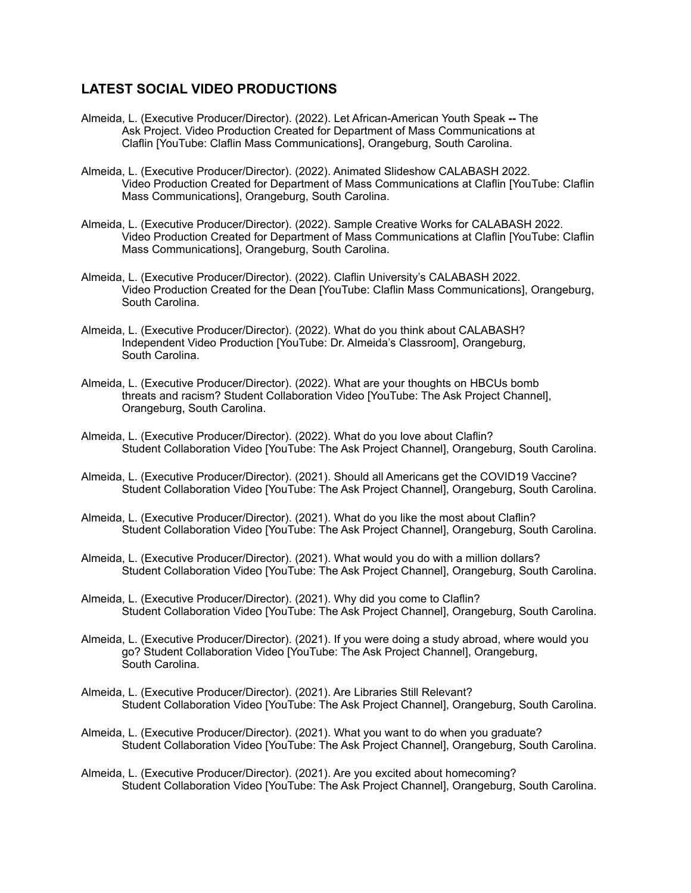## **LATEST SOCIAL VIDEO PRODUCTIONS**

- Almeida, L. (Executive Producer/Director). (2022). Let African-American Youth Speak **--** The Ask Project. Video Production Created for Department of Mass Communications at Claflin [YouTube: Claflin Mass Communications], Orangeburg, South Carolina.
- Almeida, L. (Executive Producer/Director). (2022). Animated Slideshow CALABASH 2022. Video Production Created for Department of Mass Communications at Claflin [YouTube: Claflin Mass Communications], Orangeburg, South Carolina.
- Almeida, L. (Executive Producer/Director). (2022). Sample Creative Works for CALABASH 2022. Video Production Created for Department of Mass Communications at Claflin [YouTube: Claflin Mass Communications], Orangeburg, South Carolina.
- Almeida, L. (Executive Producer/Director). (2022). Claflin University's CALABASH 2022. Video Production Created for the Dean [YouTube: Claflin Mass Communications], Orangeburg, South Carolina.
- Almeida, L. (Executive Producer/Director). (2022). What do you think about CALABASH? Independent Video Production [YouTube: Dr. Almeida's Classroom], Orangeburg, South Carolina.
- Almeida, L. (Executive Producer/Director). (2022). What are your thoughts on HBCUs bomb threats and racism? Student Collaboration Video [YouTube: The Ask Project Channel], Orangeburg, South Carolina.
- Almeida, L. (Executive Producer/Director). (2022). What do you love about Claflin? Student Collaboration Video [YouTube: The Ask Project Channel], Orangeburg, South Carolina.
- Almeida, L. (Executive Producer/Director). (2021). Should all Americans get the COVID19 Vaccine? Student Collaboration Video [YouTube: The Ask Project Channel], Orangeburg, South Carolina.
- Almeida, L. (Executive Producer/Director). (2021). What do you like the most about Claflin? Student Collaboration Video [YouTube: The Ask Project Channel], Orangeburg, South Carolina.
- Almeida, L. (Executive Producer/Director). (2021). What would you do with a million dollars? Student Collaboration Video [YouTube: The Ask Project Channel], Orangeburg, South Carolina.
- Almeida, L. (Executive Producer/Director). (2021). Why did you come to Claflin? Student Collaboration Video [YouTube: The Ask Project Channel], Orangeburg, South Carolina.
- Almeida, L. (Executive Producer/Director). (2021). If you were doing a study abroad, where would you go? Student Collaboration Video [YouTube: The Ask Project Channel], Orangeburg, South Carolina.
- Almeida, L. (Executive Producer/Director). (2021). Are Libraries Still Relevant? Student Collaboration Video [YouTube: The Ask Project Channel], Orangeburg, South Carolina.
- Almeida, L. (Executive Producer/Director). (2021). What you want to do when you graduate? Student Collaboration Video [YouTube: The Ask Project Channel], Orangeburg, South Carolina.
- Almeida, L. (Executive Producer/Director). (2021). Are you excited about homecoming? Student Collaboration Video [YouTube: The Ask Project Channel], Orangeburg, South Carolina.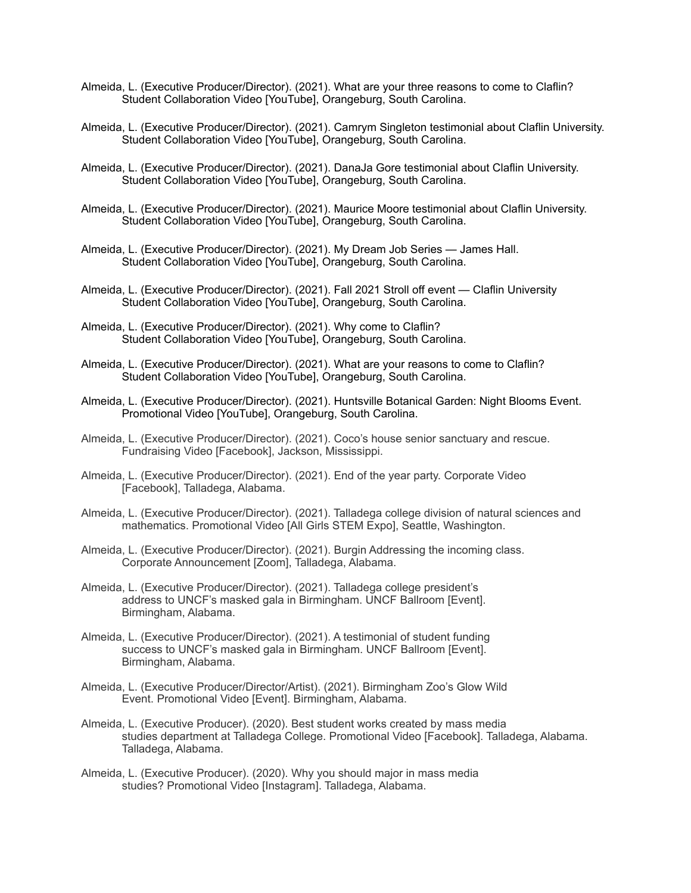- Almeida, L. (Executive Producer/Director). (2021). What are your three reasons to come to Claflin? Student Collaboration Video [YouTube], Orangeburg, South Carolina.
- Almeida, L. (Executive Producer/Director). (2021). Camrym Singleton testimonial about Claflin University. Student Collaboration Video [YouTube], Orangeburg, South Carolina.
- Almeida, L. (Executive Producer/Director). (2021). DanaJa Gore testimonial about Claflin University. Student Collaboration Video [YouTube], Orangeburg, South Carolina.
- Almeida, L. (Executive Producer/Director). (2021). Maurice Moore testimonial about Claflin University. Student Collaboration Video [YouTube], Orangeburg, South Carolina.
- Almeida, L. (Executive Producer/Director). (2021). My Dream Job Series James Hall. Student Collaboration Video [YouTube], Orangeburg, South Carolina.
- Almeida, L. (Executive Producer/Director). (2021). Fall 2021 Stroll off event Claflin University Student Collaboration Video [YouTube], Orangeburg, South Carolina.
- Almeida, L. (Executive Producer/Director). (2021). Why come to Claflin? Student Collaboration Video [YouTube], Orangeburg, South Carolina.
- Almeida, L. (Executive Producer/Director). (2021). What are your reasons to come to Claflin? Student Collaboration Video [YouTube], Orangeburg, South Carolina.
- Almeida, L. (Executive Producer/Director). (2021). Huntsville Botanical Garden: Night Blooms Event. Promotional Video [YouTube], Orangeburg, South Carolina.
- Almeida, L. (Executive Producer/Director). (2021). Coco's house senior sanctuary and rescue. Fundraising Video [Facebook], Jackson, Mississippi.
- Almeida, L. (Executive Producer/Director). (2021). End of the year party. Corporate Video [Facebook], Talladega, Alabama.
- Almeida, L. (Executive Producer/Director). (2021). Talladega college division of natural sciences and mathematics. Promotional Video [All Girls STEM Expo], Seattle, Washington.
- Almeida, L. (Executive Producer/Director). (2021). Burgin Addressing the incoming class. Corporate Announcement [Zoom], Talladega, Alabama.
- Almeida, L. (Executive Producer/Director). (2021). Talladega college president's address to UNCF's masked gala in Birmingham. UNCF Ballroom [Event]. Birmingham, Alabama.
- Almeida, L. (Executive Producer/Director). (2021). A testimonial of student funding success to UNCF's masked gala in Birmingham. UNCF Ballroom [Event]. Birmingham, Alabama.
- Almeida, L. (Executive Producer/Director/Artist). (2021). Birmingham Zoo's Glow Wild Event. Promotional Video [Event]. Birmingham, Alabama.
- Almeida, L. (Executive Producer). (2020). Best student works created by mass media studies department at Talladega College. Promotional Video [Facebook]. Talladega, Alabama. Talladega, Alabama.
- Almeida, L. (Executive Producer). (2020). Why you should major in mass media studies? Promotional Video [Instagram]. Talladega, Alabama.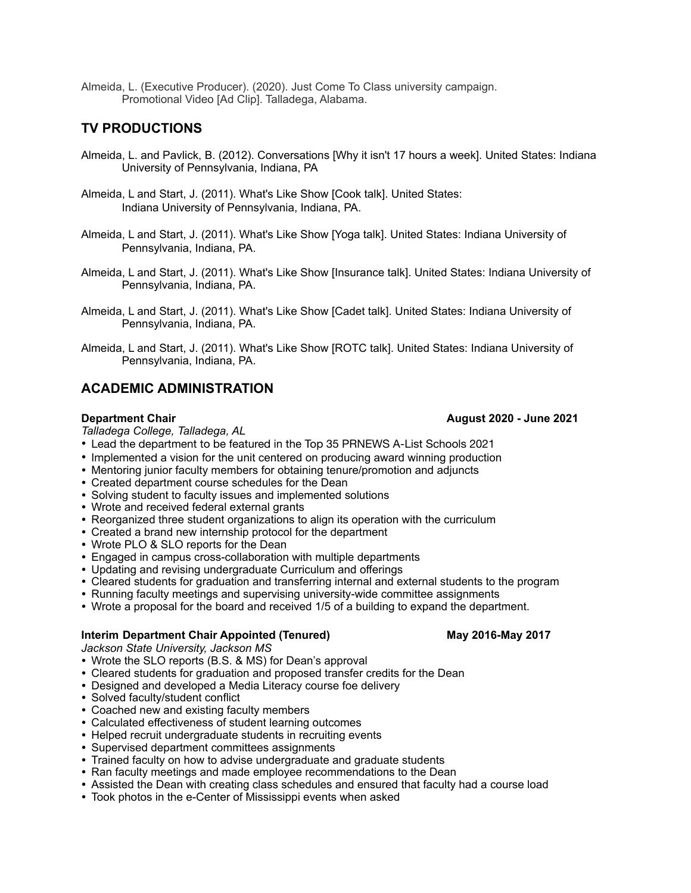Almeida, L. (Executive Producer). (2020). Just Come To Class university campaign. Promotional Video [Ad Clip]. Talladega, Alabama.

## **TV PRODUCTIONS**

- Almeida, L. and Pavlick, B. (2012). Conversations [Why it isn't 17 hours a week]. United States: Indiana University of Pennsylvania, Indiana, PA
- Almeida, L and Start, J. (2011). What's Like Show [Cook talk]. United States: Indiana University of Pennsylvania, Indiana, PA.
- Almeida, L and Start, J. (2011). What's Like Show [Yoga talk]. United States: Indiana University of Pennsylvania, Indiana, PA.
- Almeida, L and Start, J. (2011). What's Like Show [Insurance talk]. United States: Indiana University of Pennsylvania, Indiana, PA.
- Almeida, L and Start, J. (2011). What's Like Show [Cadet talk]. United States: Indiana University of Pennsylvania, Indiana, PA.
- Almeida, L and Start, J. (2011). What's Like Show [ROTC talk]. United States: Indiana University of Pennsylvania, Indiana, PA.

## **ACADEMIC ADMINISTRATION**

#### **Department Chair August 2020 - June 2021**

*Talladega College, Talladega, AL*

- *•* Lead the department to be featured in the Top 35 PRNEWS A-List Schools 2021
- *•* Implemented a vision for the unit centered on producing award winning production
- *•* Mentoring junior faculty members for obtaining tenure/promotion and adjuncts
- *•* Created department course schedules for the Dean
- *•* Solving student to faculty issues and implemented solutions
- *•* Wrote and received federal external grants
- *•* Reorganized three student organizations to align its operation with the curriculum
- *•* Created a brand new internship protocol for the department
- *•* Wrote PLO & SLO reports for the Dean
- *•* Engaged in campus cross-collaboration with multiple departments
- *•* Updating and revising undergraduate Curriculum and offerings
- *•* Cleared students for graduation and transferring internal and external students to the program
- *•* Running faculty meetings and supervising university-wide committee assignments
- *•* Wrote a proposal for the board and received 1/5 of a building to expand the department.

#### **Interim Department Chair Appointed (Tenured) May 2016-May 2017**

*Jackson State University, Jackson MS* 

- Wrote the SLO reports (B.S. & MS) for Dean's approval
- *•* Cleared students for graduation and proposed transfer credits for the Dean
- *•* Designed and developed a Media Literacy course foe delivery
- *•* Solved faculty/student conflict
- *•* Coached new and existing faculty members
- *•* Calculated effectiveness of student learning outcomes
- *•* Helped recruit undergraduate students in recruiting events
- *•* Supervised department committees assignments
- *•* Trained faculty on how to advise undergraduate and graduate students
- *•* Ran faculty meetings and made employee recommendations to the Dean
- *•* Assisted the Dean with creating class schedules and ensured that faculty had a course load
- *•* Took photos in the e-Center of Mississippi events when asked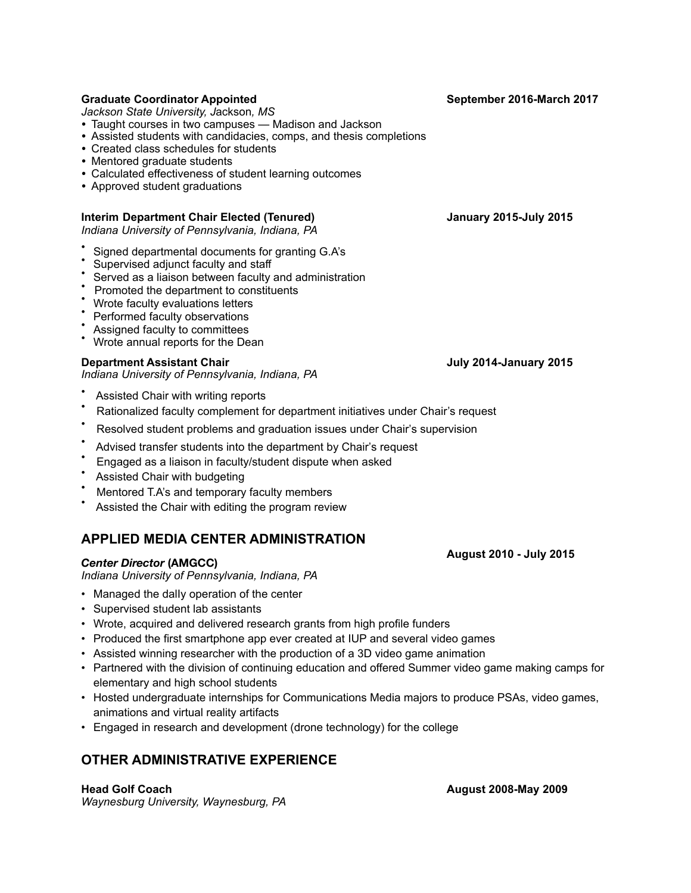## **Graduate Coordinator Appointed September 2016-March 2017**

*Jackson State University, J*ackson*, MS* 

*•* Taught courses in two campuses — Madison and Jackson

- *•* Assisted students with candidacies, comps, and thesis completions
- *•* Created class schedules for students
- *•* Mentored graduate students
- *•* Calculated effectiveness of student learning outcomes
- *•* Approved student graduations

## **Interim Department Chair Elected (Tenured) January 2015-July 2015**

*Indiana University of Pennsylvania, Indiana, PA*

- Signed departmental documents for granting G.A's
- Supervised adjunct faculty and staff
- Served as a liaison between faculty and administration
- Promoted the department to constituents
- Wrote faculty evaluations letters
- Performed faculty observations
- Assigned faculty to committees
- Wrote annual reports for the Dean

## **Department Assistant Chair Chair Allen Chair Chair Chair Chair Allen Chair Chair Allen Chair Chair Chair Chair Chair Chair Chair Chair Chair Chair Chair Chair Chair Chair Chair Chair Chair Chair Chair Chair Chair Chair Ch**

*Indiana University of Pennsylvania, Indiana, PA*

- Assisted Chair with writing reports
- Rationalized faculty complement for department initiatives under Chair's request
- Resolved student problems and graduation issues under Chair's supervision
- Advised transfer students into the department by Chair's request
- Engaged as a liaison in faculty/student dispute when asked
- Assisted Chair with budgeting
- Mentored T.A's and temporary faculty members
- Assisted the Chair with editing the program review

# **APPLIED MEDIA CENTER ADMINISTRATION**

#### *Center Director* **(AMGCC)**

*Indiana University of Pennsylvania, Indiana, PA* 

- Managed the dalIy operation of the center
- Supervised student lab assistants
- Wrote, acquired and delivered research grants from high profile funders
- Produced the first smartphone app ever created at IUP and several video games
- Assisted winning researcher with the production of a 3D video game animation
- Partnered with the division of continuing education and offered Summer video game making camps for elementary and high school students
- Hosted undergraduate internships for Communications Media majors to produce PSAs, video games, animations and virtual reality artifacts
- Engaged in research and development (drone technology) for the college

# **OTHER ADMINISTRATIVE EXPERIENCE**

**Head Golf Coach August 2008-May 2009**  *Waynesburg University, Waynesburg, PA*

 **August 2010 - July 2015**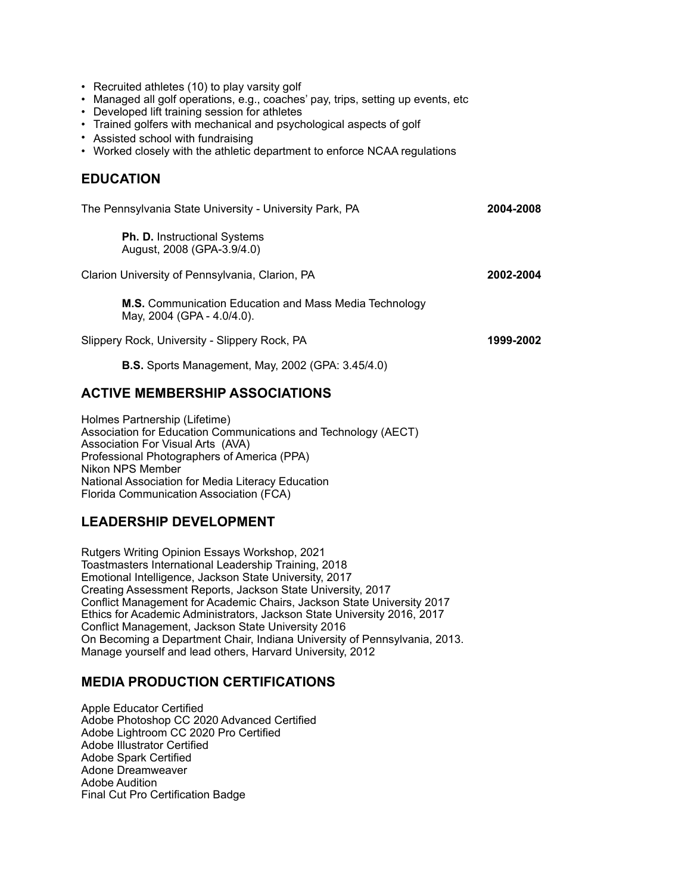- Recruited athletes (10) to play varsity golf
- Managed all golf operations, e.g., coaches' pay, trips, setting up events, etc
- Developed lift training session for athletes
- Trained golfers with mechanical and psychological aspects of golf
- Assisted school with fundraising
- Worked closely with the athletic department to enforce NCAA regulations

## **EDUCATION**

| The Pennsylvania State University - University Park, PA                              | 2004-2008 |
|--------------------------------------------------------------------------------------|-----------|
| <b>Ph. D.</b> Instructional Systems<br>August, 2008 (GPA-3.9/4.0)                    |           |
| Clarion University of Pennsylvania, Clarion, PA                                      | 2002-2004 |
| M.S. Communication Education and Mass Media Technology<br>May, 2004 (GPA - 4.0/4.0). |           |
| Slippery Rock, University - Slippery Rock, PA                                        | 1999-2002 |

 **B.S.** Sports Management, May, 2002 (GPA: 3.45/4.0)

## **ACTIVE MEMBERSHIP ASSOCIATIONS**

Holmes Partnership (Lifetime) Association for Education Communications and Technology (AECT) Association For Visual Arts (AVA) Professional Photographers of America (PPA) Nikon NPS Member National Association for Media Literacy Education Florida Communication Association (FCA)

## **LEADERSHIP DEVELOPMENT**

Rutgers Writing Opinion Essays Workshop, 2021 Toastmasters International Leadership Training, 2018 Emotional Intelligence, Jackson State University, 2017 Creating Assessment Reports, Jackson State University, 2017 Conflict Management for Academic Chairs, Jackson State University 2017 Ethics for Academic Administrators, Jackson State University 2016, 2017 Conflict Management, Jackson State University 2016 On Becoming a Department Chair, Indiana University of Pennsylvania, 2013. Manage yourself and lead others, Harvard University, 2012

## **MEDIA PRODUCTION CERTIFICATIONS**

Apple Educator Certified Adobe Photoshop CC 2020 Advanced Certified Adobe Lightroom CC 2020 Pro Certified Adobe Illustrator Certified Adobe Spark Certified Adone Dreamweaver Adobe Audition Final Cut Pro Certification Badge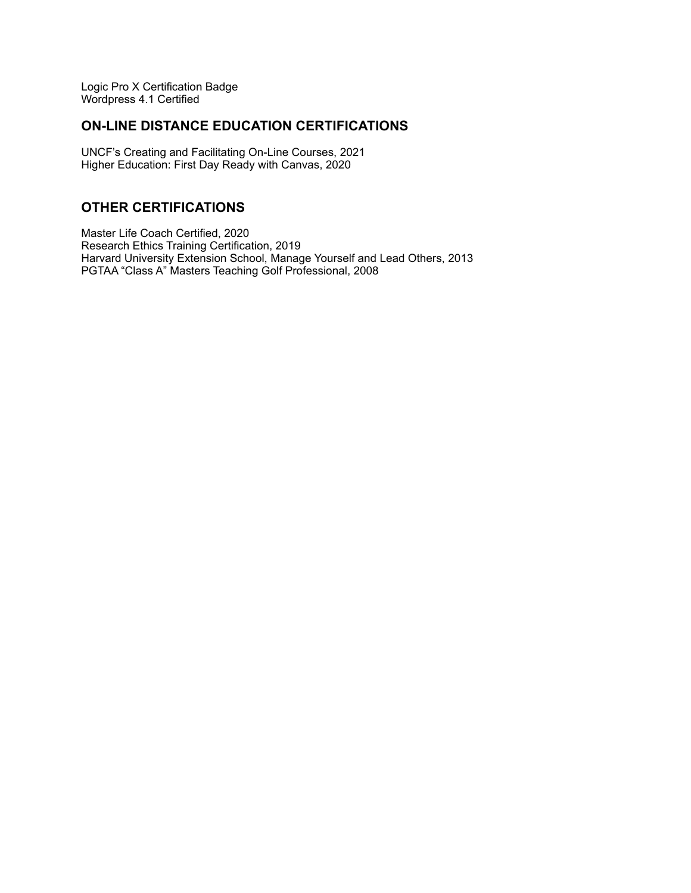Logic Pro X Certification Badge Wordpress 4.1 Certified

## **ON-LINE DISTANCE EDUCATION CERTIFICATIONS**

UNCF's Creating and Facilitating On-Line Courses, 2021 Higher Education: First Day Ready with Canvas, 2020

## **OTHER CERTIFICATIONS**

Master Life Coach Certified, 2020 Research Ethics Training Certification, 2019 Harvard University Extension School, Manage Yourself and Lead Others, 2013 PGTAA "Class A" Masters Teaching Golf Professional, 2008